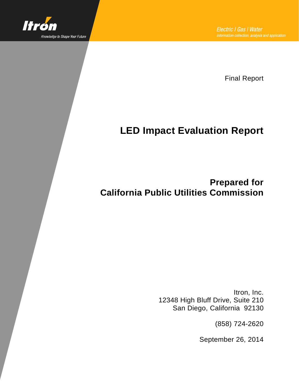

Final Report

# **LED Impact Evaluation Report**

**Prepared for California Public Utilities Commission**

> Itron, Inc. 12348 High Bluff Drive, Suite 210 San Diego, California 92130

> > (858) 724-2620

September 26, 2014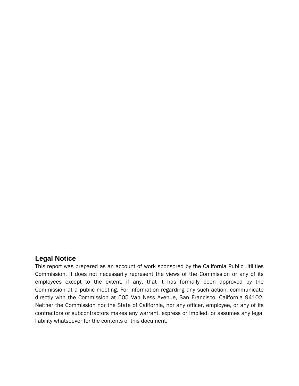# **Legal Notice**

This report was prepared as an account of work sponsored by the California Public Utilities Commission. It does not necessarily represent the views of the Commission or any of its employees except to the extent, if any, that it has formally been approved by the Commission at a public meeting. For information regarding any such action, communicate directly with the Commission at 505 Van Ness Avenue, San Francisco, California 94102. Neither the Commission nor the State of California, nor any officer, employee, or any of its contractors or subcontractors makes any warrant, express or implied, or assumes any legal liability whatsoever for the contents of this document.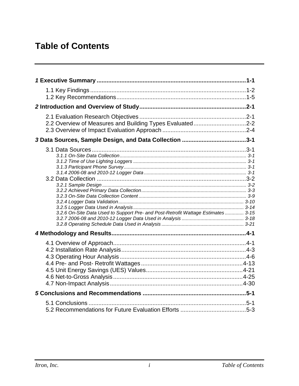# **Table of Contents**

| 2.2 Overview of Measures and Building Types Evaluated2-2                         |  |
|----------------------------------------------------------------------------------|--|
|                                                                                  |  |
| 3.2.6 On-Site Data Used to Support Pre- and Post-Retrofit Wattage Estimates 3-15 |  |
|                                                                                  |  |
|                                                                                  |  |
|                                                                                  |  |
|                                                                                  |  |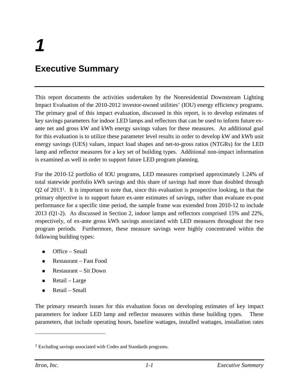# **Executive Summary**

This report documents the activities undertaken by the Nonresidential Downstream Lighting Impact Evaluation of the 2010-2012 investor-owned utilities' (IOU) energy efficiency programs. The primary goal of this impact evaluation, discussed in this report, is to develop estimates of key savings parameters for indoor LED lamps and reflectors that can be used to inform future exante net and gross kW and kWh energy savings values for these measures. An additional goal for this evaluation is to utilize these parameter level results in order to develop kW and kWh unit energy savings (UES) values, impact load shapes and net-to-gross ratios (NTGRs) for the LED lamp and reflector measures for a key set of building types. Additional non-impact information is examined as well in order to support future LED program planning.

For the 2010-12 portfolio of IOU programs, LED measures comprised approximately 1.24% of total statewide portfolio kWh savings and this share of savings had more than doubled through Q2 of 2013[1](#page-4-0). It is important to note that, since this evaluation is prospective looking, in that the primary objective is to support future ex-ante estimates of savings, rather than evaluate ex-post performance for a specific time period, the sample frame was extended from 2010-12 to include 2013 (Q1-2). As discussed in Section 2, indoor lamps and reflectors comprised 15% and 22%, respectively, of ex-ante gross kWh savings associated with LED measures throughout the two program periods. Furthermore, these measure savings were highly concentrated within the following building types:

- Office Small
- Restaurant Fast Food
- Restaurant Sit Down
- $\blacksquare$  Retail Large
- $\blacksquare$  Retail Small

The primary research issues for this evaluation focus on developing estimates of key impact parameters for indoor LED lamp and reflector measures within these building types. These parameters, that include operating hours, baseline wattages, installed wattages, installation rates

 $\overline{a}$ 

<span id="page-4-0"></span><sup>1</sup> Excluding savings associated with Codes and Standards programs.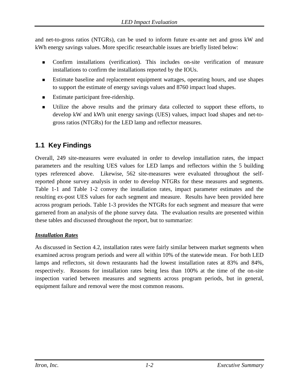and net-to-gross ratios (NTGRs), can be used to inform future ex-ante net and gross kW and kWh energy savings values. More specific researchable issues are briefly listed below:

- Confirm installations (verification). This includes on-site verification of measure installations to confirm the installations reported by the IOUs.
- Estimate baseline and replacement equipment wattages, operating hours, and use shapes to support the estimate of energy savings values and 8760 impact load shapes.
- Estimate participant free-ridership.
- Utilize the above results and the primary data collected to support these efforts, to develop kW and kWh unit energy savings (UES) values, impact load shapes and net-togross ratios (NTGRs) for the LED lamp and reflector measures.

# **1.1 Key Findings**

Overall, 249 site-measures were evaluated in order to develop installation rates, the impact parameters and the resulting UES values for LED lamps and reflectors within the 5 building types referenced above. Likewise, 562 site-measures were evaluated throughout the selfreported phone survey analysis in order to develop NTGRs for these measures and segments. [Table 1-1](#page-7-0) and [Table 1-2](#page-7-1) convey the installation rates, impact parameter estimates and the resulting ex-post UES values for each segment and measure. Results have been provided here across program periods. [Table 1-3](#page-8-0) provides the NTGRs for each segment and measure that were garnered from an analysis of the phone survey data. The evaluation results are presented within these tables and discussed throughout the report, but to summarize:

## *Installation Rates*

As discussed in Section 4.2, installation rates were fairly similar between market segments when examined across program periods and were all within 10% of the statewide mean. For both LED lamps and reflectors, sit down restaurants had the lowest installation rates at 83% and 84%, respectively. Reasons for installation rates being less than 100% at the time of the on-site inspection varied between measures and segments across program periods, but in general, equipment failure and removal were the most common reasons.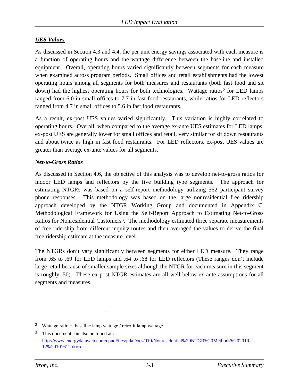#### *UES Values*

As discussed in Section 4.3 and 4.4, the per unit energy savings associated with each measure is a function of operating hours and the wattage difference between the baseline and installed equipment. Overall, operating hours varied significantly between segments for each measure when examined across program periods. Small offices and retail establishments had the lowest operating hours among all segments for both measures and restaurants (both fast food and sit down) had the highest operating hours for both technologies. Wattage ratios<sup>[2](#page-6-0)</sup> for LED lamps ranged from 6.0 in small offices to 7.7 in fast food restaurants, while ratios for LED reflectors ranged from 4.7 in small offices to 5.6 in fast food restaurants.

As a result, ex-post UES values varied significantly. This variation is highly correlated to operating hours. Overall, when compared to the average ex-ante UES estimates for LED lamps, ex-post UES are generally lower for small offices and retail, very similar for sit down restaurants and about twice as high in fast food restaurants. For LED reflectors, ex-post UES values are greater than average ex-ante values for all segments.

#### *Net-to-Gross Ratios*

As discussed in Section 4.6, the objective of this analysis was to develop net-to-gross ratios for indoor LED lamps and reflectors by the five building type segments. The approach for estimating NTGRs was based on a self-report methodology utilizing 562 participant survey phone responses. This methodology was based on the large nonresidential free ridership approach developed by the NTGR Working Group and documented in Appendix C, Methodological Framework for Using the Self-Report Approach to Estimating Net-to-Gross Ratios for Nonresidential Customers<sup>[3](#page-6-1)</sup>. The methodology estimated three separate measurements of free ridership from different inquiry routes and then averaged the values to derive the final free ridership estimate at the measure level.

The NTGRs don't vary significantly between segments for either LED measure. They range from .65 to .69 for LED lamps and .64 to .68 for LED reflectors (These ranges don't include large retail because of smaller sample sizes although the NTGR for each measure in this segment is roughly .50). These ex-post NTGR estimates are all well below ex-ante assumptions for all segments and measures.

 $\overline{a}$ 

<span id="page-6-0"></span><sup>&</sup>lt;sup>2</sup> Wattage ratio = baseline lamp wattage / retrofit lamp wattage

<span id="page-6-1"></span> $3$  This document can also be found at : [http://www.energydataweb.com/cpucFiles/pdaDocs/910/Nonresidential%20NTGR%20Methods%202010-](http://www.energydataweb.com/cpucFiles/pdaDocs/910/Nonresidential%20NTGR%20Methods%202010-12%20101612.docx) [12%20101612.docx](http://www.energydataweb.com/cpucFiles/pdaDocs/910/Nonresidential%20NTGR%20Methods%202010-12%20101612.docx)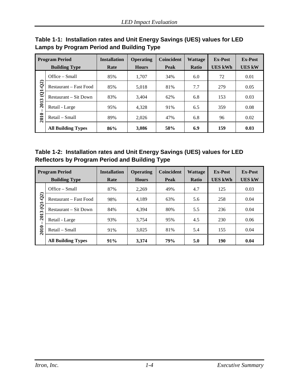<span id="page-7-0"></span>**Table 1-1: Installation rates and Unit Energy Savings (UES) values for LED Lamps by Program Period and Building Type**

| <b>Program Period</b><br><b>Building Type</b> |                           | <b>Installation</b><br>Rate | <b>Operating</b><br><b>Hours</b> | <b>Coincident</b><br>Peak | <b>Wattage</b><br><b>Ratio</b> | <b>Ex-Post</b><br>UES kWh | <b>Ex-Post</b><br><b>UES kW</b> |
|-----------------------------------------------|---------------------------|-----------------------------|----------------------------------|---------------------------|--------------------------------|---------------------------|---------------------------------|
|                                               | Office – Small            | 85%                         | 1.707                            | 34%                       | 6.0                            | 72                        | 0.01                            |
| (2)                                           | Restaurant – Fast Food    | 85%                         | 5.018                            | 81%                       | 7.7                            | 279                       | 0.05                            |
| ė<br>2013<br>2010                             | Restaurant – Sit Down     | 83%                         | 3.404                            | 62%                       | 6.8                            | 153                       | 0.03                            |
|                                               | Retail - Large            | 95%                         | 4.328                            | 91%                       | 6.5                            | 359                       | 0.08                            |
|                                               | Retail – Small            | 89%                         | 2.026                            | 47%                       | 6.8                            | 96                        | 0.02                            |
|                                               | <b>All Building Types</b> | 86%                         | 3.086                            | 58%                       | 6.9                            | 159                       | 0.03                            |

<span id="page-7-1"></span>**Table 1-2: Installation rates and Unit Energy Savings (UES) values for LED Reflectors by Program Period and Building Type**

|                   | <b>Program Period</b><br><b>Building Type</b> | <b>Installation</b><br>Rate | <b>Operating</b><br><b>Hours</b> | <b>Coincident</b><br>Peak | <b>Wattage</b><br><b>Ratio</b> | <b>Ex-Post</b><br><b>UES kWh</b> | <b>Ex-Post</b><br><b>UES kW</b> |
|-------------------|-----------------------------------------------|-----------------------------|----------------------------------|---------------------------|--------------------------------|----------------------------------|---------------------------------|
|                   | $Office - Small$                              | 87%                         | 2.269                            | 49%                       | 4.7                            | 125                              | 0.03                            |
| $\overline{Q}$    | Restaurant – Fast Food                        | 98%                         | 4,189                            | 63%                       | 5.6                            | 258                              | 0.04                            |
| ė<br>2013<br>2010 | Restaurant – Sit Down                         | 84%                         | 4.394                            | 80%                       | 5.5                            | 236                              | 0.04                            |
|                   | Retail - Large                                | 93%                         | 3.754                            | 95%                       | 4.5                            | 230                              | 0.06                            |
|                   | Retail – Small                                | 91%                         | 3.025                            | 81%                       | 5.4                            | 155                              | 0.04                            |
|                   | <b>All Building Types</b>                     | 91%                         | 3.374                            | <b>79%</b>                | 5.0                            | 190                              | 0.04                            |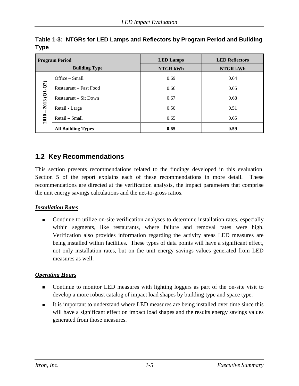| <b>Program Period</b> |                           | <b>LED Lamps</b> | <b>LED Reflectors</b> |
|-----------------------|---------------------------|------------------|-----------------------|
|                       | <b>Building Type</b>      | NTGR kWh         | NTGR kWh              |
|                       | Office $-$ Small          | 0.69             | 0.64                  |
|                       | Restaurant – Fast Food    | 0.66             | 0.65                  |
| $2013(Q1-Q2)$         | Restaurant – Sit Down     | 0.67             | 0.68                  |
|                       | Retail - Large            | 0.50             | 0.51                  |
| 2010                  | Retail – Small            | 0.65             | 0.65                  |
|                       | <b>All Building Types</b> | 0.65             | 0.59                  |

## <span id="page-8-0"></span>**Table 1-3: NTGRs for LED Lamps and Reflectors by Program Period and Building Type**

# **1.2 Key Recommendations**

This section presents recommendations related to the findings developed in this evaluation. Section 5 of the report explains each of these recommendations in more detail. These recommendations are directed at the verification analysis, the impact parameters that comprise the unit energy savings calculations and the net-to-gross ratios.

## *Installation Rates*

 Continue to utilize on-site verification analyses to determine installation rates, especially within segments, like restaurants, where failure and removal rates were high. Verification also provides information regarding the activity areas LED measures are being installed within facilities. These types of data points will have a significant effect, not only installation rates, but on the unit energy savings values generated from LED measures as well.

# *Operating Hours*

- Continue to monitor LED measures with lighting loggers as part of the on-site visit to develop a more robust catalog of impact load shapes by building type and space type.
- It is important to understand where LED measures are being installed over time since this will have a significant effect on impact load shapes and the results energy savings values generated from those measures.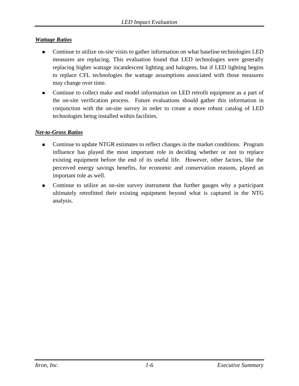#### *Wattage Ratios*

- Continue to utilize on-site visits to gather information on what baseline technologies LED measures are replacing. This evaluation found that LED technologies were generally replacing higher wattage incandescent lighting and halogens, but if LED lighting begins to replace CFL technologies the wattage assumptions associated with those measures may change over time.
- Continue to collect make and model information on LED retrofit equipment as a part of the on-site verification process. Future evaluations should gather this information in conjunction with the on-site survey in order to create a more robust catalog of LED technologies being installed within facilities.

#### *Net-to-Gross Ratios*

- Continue to update NTGR estimates to reflect changes in the market conditions. Program influence has played the most important role in deciding whether or not to replace existing equipment before the end of its useful life. However, other factors, like the perceived energy savings benefits, for economic and conservation reasons, played an important role as well.
- Continue to utilize an on-site survey instrument that further gauges why a participant ultimately retrofitted their existing equipment beyond what is captured in the NTG analysis.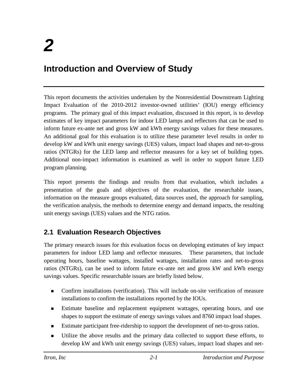# **Introduction and Overview of Study**

This report documents the activities undertaken by the Nonresidential Downstream Lighting Impact Evaluation of the 2010-2012 investor-owned utilities' (IOU) energy efficiency programs. The primary goal of this impact evaluation, discussed in this report, is to develop estimates of key impact parameters for indoor LED lamps and reflectors that can be used to inform future ex-ante net and gross kW and kWh energy savings values for these measures. An additional goal for this evaluation is to utilize these parameter level results in order to develop kW and kWh unit energy savings (UES) values, impact load shapes and net-to-gross ratios (NTGRs) for the LED lamp and reflector measures for a key set of building types. Additional non-impact information is examined as well in order to support future LED program planning.

This report presents the findings and results from that evaluation, which includes a presentation of the goals and objectives of the evaluation, the researchable issues, information on the measure groups evaluated, data sources used, the approach for sampling, the verification analysis, the methods to determine energy and demand impacts, the resulting unit energy savings (UES) values and the NTG ratios.

# **2.1 Evaluation Research Objectives**

The primary research issues for this evaluation focus on developing estimates of key impact parameters for indoor LED lamp and reflector measures. These parameters, that include operating hours, baseline wattages, installed wattages, installation rates and net-to-gross ratios (NTGRs), can be used to inform future ex-ante net and gross kW and kWh energy savings values. Specific researchable issues are briefly listed below.

- Confirm installations (verification). This will include on-site verification of measure installations to confirm the installations reported by the IOUs.
- Estimate baseline and replacement equipment wattages, operating hours, and use shapes to support the estimate of energy savings values and 8760 impact load shapes.
- **Estimate participant free-ridership to support the development of net-to-gross ratios.**
- Utilize the above results and the primary data collected to support these efforts, to develop kW and kWh unit energy savings (UES) values, impact load shapes and net-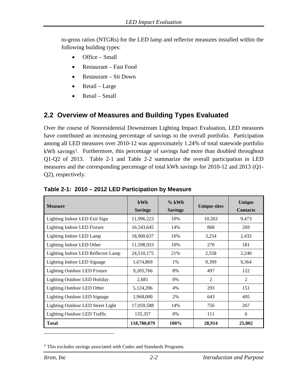to-gross ratios (NTGRs) for the LED lamp and reflector measures installed within the following building types:

- Office Small
- Restaurant Fast Food
- Restaurant Sit Down
- Retail Large
- Retail Small

# **2.2 Overview of Measures and Building Types Evaluated**

Over the course of Nonresidential Downstream Lighting Impact Evaluation, LED measures have contributed an increasing percentage of savings to the overall portfolio. Participation among all LED measures over 2010-12 was approximately 1.24% of total statewide portfolio kWh savings<sup>[1](#page-11-1)</sup>. Furthermore, this percentage of savings had more than doubled throughout Q1-Q2 of 2013. [Table 2-1](#page-11-0) and [Table 2-2](#page-12-0) summarize the overall participation in LED measures and the corresponding percentage of total kWh savings for 2010-12 and 2013 (Q1- Q2), respectively.

| <b>Measure</b>                           | kWh<br><b>Savings</b> | $%$ kWh<br><b>Savings</b> | <b>Unique sites</b> | Unique<br><b>Contacts</b> |
|------------------------------------------|-----------------------|---------------------------|---------------------|---------------------------|
| Lighting Indoor LED Exit Sign            | 11,996,223            | 10%                       | 10,263              | 9,473                     |
| Lighting Indoor LED Fixture              | 16,543,645            | 14%                       | 868                 | 269                       |
| Lighting Indoor LED Lamp                 | 18,960,637            | 16%                       | 3,254               | 2,432                     |
| Lighting Indoor LED Other                | 11,598,933            | 10%                       | 270                 | 181                       |
| Lighting Indoor LED Reflector Lamp       | 24,510,175            | 21%                       | 2,558               | 2,240                     |
| Lighting Indoor LED Signage              | 1,674,869             | 1%                        | 9,399               | 9,364                     |
| Lighting Outdoor LED Fixture             | 9,205,766             | 8%                        | 497                 | 122                       |
| <b>Lighting Outdoor LED Holiday</b>      | 2,681                 | 0%                        | $\overline{2}$      | 2                         |
| Lighting Outdoor LED Other               | 5,124,206             | 4%                        | 293                 | 151                       |
| <b>Lighting Outdoor LED Signage</b>      | 1,968,000             | 2%                        | 643                 | 495                       |
| <b>Lighting Outdoor LED Street Light</b> | 17,059,588            | 14%                       | 756                 | 267                       |
| <b>Lighting Outdoor LED Traffic</b>      | 135,357               | 0%                        | 111                 | 6                         |
| <b>Total</b>                             | 118,780,079           | 100%                      | 28,914              | 25,002                    |

#### <span id="page-11-0"></span>**Table 2-1: 2010 – 2012 LED Participation by Measure**

 $\overline{a}$ 

<span id="page-11-1"></span><sup>1</sup> This excludes savings associated with Codes and Standards Programs.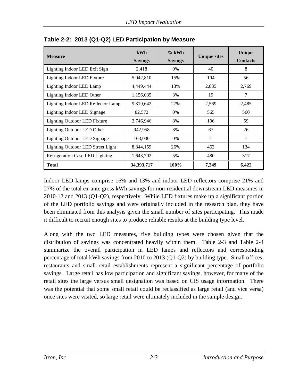| <b>Measure</b>                      | kWh<br><b>Savings</b> | $%$ kWh<br><b>Savings</b> | <b>Unique sites</b> | Unique<br><b>Contacts</b> |
|-------------------------------------|-----------------------|---------------------------|---------------------|---------------------------|
| Lighting Indoor LED Exit Sign       | 2,418                 | $0\%$                     | 40                  | 8                         |
| Lighting Indoor LED Fixture         | 5,042,810             | 15%                       | 104                 | 56                        |
| Lighting Indoor LED Lamp            | 4,449,444             | 13%                       | 2,835               | 2,769                     |
| Lighting Indoor LED Other           | 1,156,035             | 3%                        | 19                  | 7                         |
| Lighting Indoor LED Reflector Lamp  | 9,319,642             | 27%                       | 2,569               | 2,485                     |
| Lighting Indoor LED Signage         | 82,572                | $0\%$                     | 565                 | 560                       |
| <b>Lighting Outdoor LED Fixture</b> | 2,746,946             | 8%                        | 106                 | 59                        |
| Lighting Outdoor LED Other          | 942,958               | 3%                        | 67                  | 26                        |
| <b>Lighting Outdoor LED Signage</b> | 163,030               | $0\%$                     | 1                   | 1                         |
| Lighting Outdoor LED Street Light   | 8,844,159             | 26%                       | 463                 | 134                       |
| Refrigeration Case LED Lighting     | 1,643,702             | 5%                        | 480                 | 317                       |
| <b>Total</b>                        | 34,393,717            | 100%                      | 7,249               | 6,422                     |

<span id="page-12-0"></span>**Table 2-2: 2013 (Q1-Q2) LED Participation by Measure**

Indoor LED lamps comprise 16% and 13% and indoor LED reflectors comprise 21% and 27% of the total ex-ante gross kWh savings for non-residential downstream LED measures in 2010-12 and 2013 (Q1-Q2), respectively. While LED fixtures make up a significant portion of the LED portfolio savings and were originally included in the research plan, they have been eliminated from this analysis given the small number of sites participating. This made it difficult to recruit enough sites to produce reliable results at the building type level.

<span id="page-12-1"></span>Along with the two LED measures, five building types were chosen given that the distribution of savings was concentrated heavily within them. [Table 2-3](#page-12-1) and [Table 2-4](#page-13-0) summarize the overall participation in LED lamps and reflectors and corresponding percentage of total kWh savings from 2010 to 2013 (Q1-Q2) by building type. Small offices, restaurants and small retail establishments represent a significant percentage of portfolio savings. Large retail has low participation and significant savings, however, for many of the retail sites the large versus small designation was based on CIS usage information. There was the potential that some small retail could be reclassified as large retail (and vice versa) once sites were visited, so large retail were ultimately included in the sample design.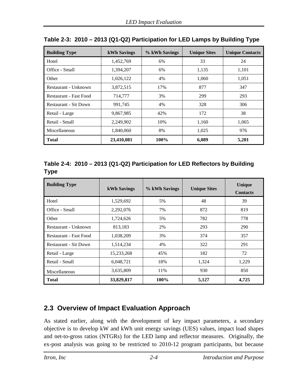| <b>Building Type</b>              | <b>kWh Savings</b> | % kWh Savings | <b>Unique Sites</b> | <b>Unique Contacts</b> |  |
|-----------------------------------|--------------------|---------------|---------------------|------------------------|--|
| Hotel                             | 1,452,769          | 6%            | 33                  | 24                     |  |
| Office - Small                    | 1,394,207          | 6%            | 1,135               | 1,101                  |  |
| Other                             | 1,026,122          | 4%            | 1,060               | 1,051                  |  |
| 3,872,515<br>Restaurant - Unknown |                    | 17%           | 877                 | 347                    |  |
| Restaurant - Fast Food            | 714,777            |               | 299                 | 293                    |  |
| Restaurant - Sit Down             | 991,745            | 4%            | 328                 | 306                    |  |
| Retail - Large                    | 9,867,985          | 42%           | 172                 | 38                     |  |
| Retail - Small                    | 2,249,902          | 10%           | 1,160               | 1,065                  |  |
| Miscellaneous                     | 1,840,060          | 8%            | 1,025               | 976                    |  |
| <b>Total</b>                      | 23,410,081         | 100%          | 6,089               | 5,201                  |  |

|  | Table 2-3: 2010 - 2013 (Q1-Q2) Participation for LED Lamps by Building Type |  |  |
|--|-----------------------------------------------------------------------------|--|--|
|  |                                                                             |  |  |

# <span id="page-13-0"></span>**Table 2-4: 2010 – 2013 (Q1-Q2) Participation for LED Reflectors by Building Type**

| <b>Building Type</b>                | <b>kWh Savings</b> | % kWh Savings | <b>Unique Sites</b> | <b>Unique</b><br><b>Contacts</b> |
|-------------------------------------|--------------------|---------------|---------------------|----------------------------------|
| Hotel                               | 1,529,692          | 5%            | 48                  | 39                               |
| Office - Small                      | 2,292,076          | 7%            | 872                 | 819                              |
| Other                               | 1,724,626          | 5%            | 782                 | 778                              |
| Restaurant - Unknown                | 813,183            | 2%            | 293                 | 290                              |
| Restaurant - Fast Food<br>1,038,209 |                    | 3%            | 374                 | 357                              |
| Restaurant - Sit Down               | 1,514,234          | 4%            | 322                 | 291                              |
| Retail - Large                      | 15,233,268         | 45%           | 182                 | 72                               |
| Retail - Small                      | 6,048,721          | 18%           | 1,324               | 1,229                            |
| Miscellaneous                       | 3,635,809          | 11%           | 930                 | 850                              |
| <b>Total</b>                        | 33,829,817         | $100\%$       | 5,127               | 4,725                            |

# **2.3 Overview of Impact Evaluation Approach**

As stated earlier, along with the development of key impact parameters, a secondary objective is to develop kW and kWh unit energy savings (UES) values, impact load shapes and net-to-gross ratios (NTGRs) for the LED lamp and reflector measures. Originally, the ex-post analysis was going to be restricted to 2010-12 program participants, but because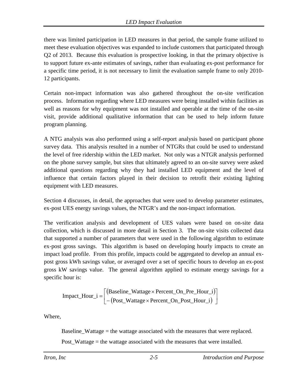there was limited participation in LED measures in that period, the sample frame utilized to meet these evaluation objectives was expanded to include customers that participated through Q2 of 2013. Because this evaluation is prospective looking, in that the primary objective is to support future ex-ante estimates of savings, rather than evaluating ex-post performance for a specific time period, it is not necessary to limit the evaluation sample frame to only 2010- 12 participants.

Certain non-impact information was also gathered throughout the on-site verification process. Information regarding where LED measures were being installed within facilities as well as reasons for why equipment was not installed and operable at the time of the on-site visit, provide additional qualitative information that can be used to help inform future program planning.

A NTG analysis was also performed using a self-report analysis based on participant phone survey data. This analysis resulted in a number of NTGRs that could be used to understand the level of free ridership within the LED market. Not only was a NTGR analysis performed on the phone survey sample, but sites that ultimately agreed to an on-site survey were asked additional questions regarding why they had installed LED equipment and the level of influence that certain factors played in their decision to retrofit their existing lighting equipment with LED measures.

Section 4 discusses, in detail, the approaches that were used to develop parameter estimates, ex-post UES energy savings values, the NTGR's and the non-impact information.

The verification analysis and development of UES values were based on on-site data collection, which is discussed in more detail in Section 3. The on-site visits collected data that supported a number of parameters that were used in the following algorithm to estimate ex-post gross savings. This algorithm is based on developing hourly impacts to create an impact load profile. From this profile, impacts could be aggregated to develop an annual expost gross kWh savings value, or averaged over a set of specific hours to develop an ex-post gross kW savings value. The general algorithm applied to estimate energy savings for a specific hour is:

$$
Import\_Hour\_i = \begin{bmatrix} (Baseline\_Wattage \times Percent\_On\_Pre\_Hour\_i) \\ -(Post\_Wattage \times Percent\_On\_Post\_Hour\_i) \end{bmatrix}
$$

Where,

Baseline\_Wattage = the wattage associated with the measures that were replaced.

Post Wattage  $=$  the wattage associated with the measures that were installed.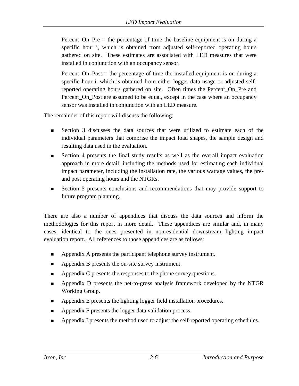Percent\_On\_Pre = the percentage of time the baseline equipment is on during a specific hour i, which is obtained from adjusted self-reported operating hours gathered on site. These estimates are associated with LED measures that were installed in conjunction with an occupancy sensor.

Percent  $On$  Post  $=$  the percentage of time the installed equipment is on during a specific hour i, which is obtained from either logger data usage or adjusted selfreported operating hours gathered on site. Often times the Percent\_On\_Pre and Percent\_On\_Post are assumed to be equal, except in the case where an occupancy sensor was installed in conjunction with an LED measure.

The remainder of this report will discuss the following:

- Section 3 discusses the data sources that were utilized to estimate each of the individual parameters that comprise the impact load shapes, the sample design and resulting data used in the evaluation.
- Section 4 presents the final study results as well as the overall impact evaluation approach in more detail, including the methods used for estimating each individual impact parameter, including the installation rate, the various wattage values, the preand post operating hours and the NTGRs.
- Section 5 presents conclusions and recommendations that may provide support to future program planning.

There are also a number of appendices that discuss the data sources and inform the methodologies for this report in more detail. These appendices are similar and, in many cases, identical to the ones presented in nonresidential downstream lighting impact evaluation report. All references to those appendices are as follows:

- Appendix A presents the participant telephone survey instrument.
- **Appendix B presents the on-site survey instrument.**
- Appendix C presents the responses to the phone survey questions.
- **Appendix D presents the net-to-gross analysis framework developed by the NTGR** Working Group.
- Appendix E presents the lighting logger field installation procedures.
- **Appendix F presents the logger data validation process.**
- Appendix I presents the method used to adjust the self-reported operating schedules.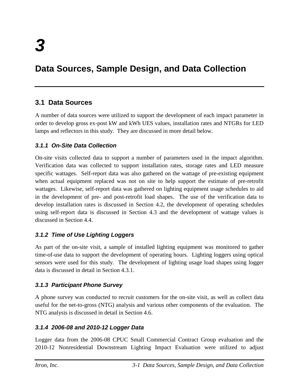# **Data Sources, Sample Design, and Data Collection**

# **3.1 Data Sources**

A number of data sources were utilized to support the development of each impact parameter in order to develop gross ex-post kW and kWh UES values, installation rates and NTGRs for LED lamps and reflectors in this study. They are discussed in more detail below.

## *3.1.1 On-Site Data Collection*

On-site visits collected data to support a number of parameters used in the impact algorithm. Verification data was collected to support installation rates, storage rates and LED measure specific wattages. Self-report data was also gathered on the wattage of pre-existing equipment when actual equipment replaced was not on site to help support the estimate of pre-retrofit wattages. Likewise, self-report data was gathered on lighting equipment usage schedules to aid in the development of pre- and post-retrofit load shapes. The use of the verification data to develop installation rates is discussed in Section 4.2, the development of operating schedules using self-report data is discussed in Section 4.3 and the development of wattage values is discussed in Section 4.4.

#### *3.1.2 Time of Use Lighting Loggers*

As part of the on-site visit, a sample of installed lighting equipment was monitored to gather time-of-use data to support the development of operating hours. Lighting loggers using optical sensors were used for this study. The development of lighting usage load shapes using logger data is discussed in detail in Section 4.3.1.

#### *3.1.3 Participant Phone Survey*

A phone survey was conducted to recruit customers for the on-site visit, as well as collect data useful for the net-to-gross (NTG) analysis and various other components of the evaluation. The NTG analysis is discussed in detail in Section 4.6.

#### *3.1.4 2006-08 and 2010-12 Logger Data*

Logger data from the 2006-08 CPUC Small Commercial Contract Group evaluation and the 2010-12 Nonresidential Downstream Lighting Impact Evaluation were utilized to adjust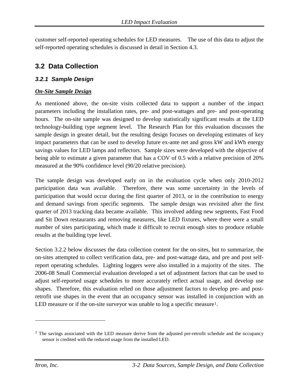customer self-reported operating schedules for LED measures. The use of this data to adjust the self-reported operating schedules is discussed in detail in Section 4.3.

# **3.2 Data Collection**

#### *3.2.1 Sample Design*

#### *On-Site Sample Design*

As mentioned above, the on-site visits collected data to support a number of the impact parameters including the installation rates, pre- and post-wattages and pre- and post-operating hours. The on-site sample was designed to develop statistically significant results at the LED technology-building type segment level. The Research Plan for this evaluation discusses the sample design in greater detail, but the resulting design focuses on developing estimates of key impact parameters that can be used to develop future ex-ante net and gross kW and kWh energy savings values for LED lamps and reflectors. Sample sizes were developed with the objective of being able to estimate a given parameter that has a COV of 0.5 with a relative precision of 20% measured at the 90% confidence level (90/20 relative precision).

The sample design was developed early on in the evaluation cycle when only 2010-2012 participation data was available. Therefore, there was some uncertainty in the levels of participation that would occur during the first quarter of 2013, or in the contribution to energy and demand savings from specific segments. The sample design was revisited after the first quarter of 2013 tracking data became available. This involved adding new segments, Fast Food and Sit Down restaurants and removing measures, like LED fixtures, where there were a small number of sites participating, which made it difficult to recruit enough sites to produce reliable results at the building type level.

Section 3.2.2 below discusses the data collection content for the on-sites, but to summarize, the on-sites attempted to collect verification data, pre- and post-wattage data, and pre and post selfreport operating schedules. Lighting loggers were also installed in a majority of the sites. The 2006-08 Small Commercial evaluation developed a set of adjustment factors that can be used to adjust self-reported usage schedules to more accurately reflect actual usage, and develop use shapes. Therefore, this evaluation relied on those adjustment factors to develop pre- and postretrofit use shapes in the event that an occupancy sensor was installed in conjunction with an LED measure or if the on-site surveyor was unable to log a specific measure<sup>[1](#page-17-0)</sup>.

 $\overline{a}$ 

<span id="page-17-0"></span><sup>&</sup>lt;sup>1</sup> The savings associated with the LED measure derive from the adjusted pre-retrofit schedule and the occupancy sensor is credited with the reduced usage from the installed LED.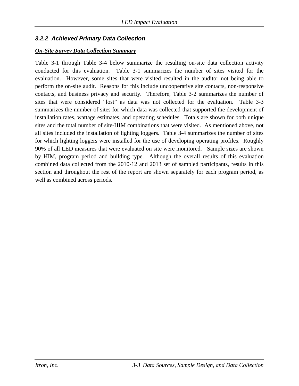## *3.2.2 Achieved Primary Data Collection*

#### *On-Site Survey Data Collection Summary*

[Table 3-1](#page-19-0) through [Table 3-4](#page-22-0) below summarize the resulting on-site data collection activity conducted for this evaluation. [Table 3-1](#page-19-0) summarizes the number of sites visited for the evaluation. However, some sites that were visited resulted in the auditor not being able to perform the on-site audit. Reasons for this include uncooperative site contacts, non-responsive contacts, and business privacy and security. Therefore, [Table 3-2](#page-20-0) summarizes the number of sites that were considered "lost" as data was not collected for the evaluation. [Table 3-3](#page-21-0) summarizes the number of sites for which data was collected that supported the development of installation rates, wattage estimates, and operating schedules. Totals are shown for both unique sites and the total number of site-HIM combinations that were visited. As mentioned above, not all sites included the installation of lighting loggers. [Table 3-4](#page-22-0) summarizes the number of sites for which lighting loggers were installed for the use of developing operating profiles. Roughly 90% of all LED measures that were evaluated on site were monitored. Sample sizes are shown by HIM, program period and building type. Although the overall results of this evaluation combined data collected from the 2010-12 and 2013 set of sampled participants, results in this section and throughout the rest of the report are shown separately for each program period, as well as combined across periods.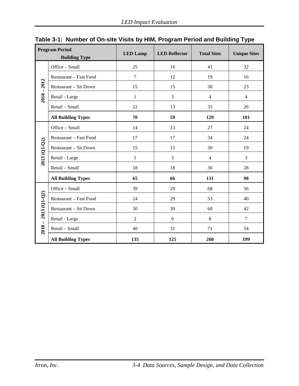|                | <b>Program Period</b><br><b>Building Type</b> | <b>LED Lamp</b> | <b>LED Reflector</b> | <b>Total Sites</b> | <b>Unique Sites</b> |
|----------------|-----------------------------------------------|-----------------|----------------------|--------------------|---------------------|
|                | Office - Small                                | 25              | 16                   | 41                 | 32                  |
|                | Restaurant - Fast Food                        | $\overline{7}$  | 12                   | 19                 | 16                  |
| 2012           | <b>Restaurant - Sit Down</b>                  | 15              | 15                   | 30                 | 23                  |
| $2010 -$       | Retail - Large                                | $\mathbf{1}$    | 3                    | $\overline{4}$     | $\overline{4}$      |
|                | Retail - Small                                | 22              | 13                   | 35                 | 26                  |
|                | <b>All Building Types</b>                     | 70              | 59                   | 129                | 101                 |
|                | Office - Small                                | 14              | 13                   | 27                 | 24                  |
|                | Restaurant - Fast Food                        | 17              | 17                   | 34                 | 24                  |
| $2013$ (Q1-Q2) | Restaurant - Sit Down                         | 15              | 15                   | 30                 | 19                  |
|                | Retail - Large                                | $\mathbf{1}$    | 3                    | $\overline{4}$     | 3                   |
|                | Retail - Small                                | 18              | 18                   | 36                 | 28                  |
|                | <b>All Building Types</b>                     | 65              | 66                   | 131                | 98                  |
|                | Office - Small                                | 39              | 29                   | 68                 | 56                  |
| 2013 (Q1-Q2)   | Restaurant - Fast Food                        | 24              | 29                   | 53                 | 40                  |
|                | <b>Restaurant - Sit Down</b>                  | 30              | 30                   | 60                 | 42                  |
|                | Retail - Large                                | $\overline{2}$  | 6                    | 8                  | $\overline{7}$      |
| $2010 -$       | Retail - Small                                | 40              | 31                   | 71                 | 54                  |
|                | <b>All Building Types</b>                     | 135             | 125                  | 260                | 199                 |

<span id="page-19-0"></span>**Table 3-1: Number of On-site Visits by HIM, Program Period and Building Type**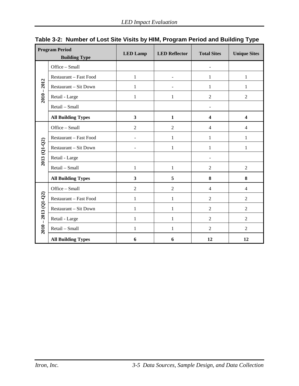|                       | <b>Program Period</b><br><b>Building Type</b> | <b>LED Lamp</b>         | <b>LED Reflector</b> | <b>Total Sites</b>       | <b>Unique Sites</b>     |
|-----------------------|-----------------------------------------------|-------------------------|----------------------|--------------------------|-------------------------|
|                       | Office - Small                                |                         |                      | $\blacksquare$           |                         |
|                       | Restaurant - Fast Food                        | 1                       |                      | $\mathbf{1}$             | $\mathbf{1}$            |
| 2012                  | Restaurant - Sit Down                         | 1                       |                      | 1                        | 1                       |
| $2010 -$              | Retail - Large                                | 1                       | 1                    | $\overline{2}$           | $\overline{2}$          |
|                       | Retail - Small                                |                         |                      | $\overline{\phantom{a}}$ |                         |
|                       | <b>All Building Types</b>                     | $\overline{\mathbf{3}}$ | $\mathbf{1}$         | 4                        | $\overline{\mathbf{4}}$ |
|                       | Office - Small                                | $\overline{2}$          | $\overline{2}$       | $\overline{4}$           | 4                       |
|                       | Restaurant - Fast Food                        |                         | 1                    | $\mathbf{1}$             | $\mathbf{1}$            |
| $2013$ (Q1-Q2)        | Restaurant - Sit Down                         |                         | 1                    | $\mathbf{1}$             | $\mathbf{1}$            |
|                       | Retail - Large                                |                         |                      | ÷                        |                         |
|                       | Retail - Small                                | 1                       | 1                    | $\overline{2}$           | $\overline{2}$          |
|                       | <b>All Building Types</b>                     | $\mathbf{3}$            | 5                    | 8                        | 8                       |
|                       | Office - Small                                | $\overline{2}$          | $\overline{2}$       | $\overline{4}$           | $\overline{4}$          |
|                       | Restaurant - Fast Food                        | 1                       | 1                    | $\overline{2}$           | $\overline{2}$          |
|                       | Restaurant - Sit Down                         | 1                       | 1                    | $\overline{2}$           | $\overline{2}$          |
|                       | Retail - Large                                | 1                       | 1                    | $\overline{2}$           | $\overline{2}$          |
| $2010 - 2013$ (Q1-Q2) | Retail - Small                                | 1                       | 1                    | $\overline{2}$           | $\overline{2}$          |
|                       | <b>All Building Types</b>                     | 6                       | 6                    | 12                       | 12                      |

<span id="page-20-0"></span>

|  |  |  | Table 3-2: Number of Lost Site Visits by HIM, Program Period and Building Type |
|--|--|--|--------------------------------------------------------------------------------|
|  |  |  |                                                                                |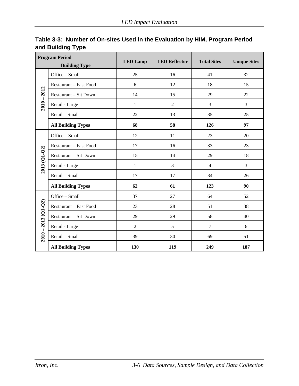|                       | <b>Program Period</b><br><b>Building Type</b> | <b>LED</b> Lamp | <b>LED Reflector</b> | <b>Total Sites</b> | <b>Unique Sites</b> |
|-----------------------|-----------------------------------------------|-----------------|----------------------|--------------------|---------------------|
|                       | Office - Small                                | 25              | 16                   | 41                 | 32                  |
|                       | Restaurant - Fast Food                        | 6               | 12                   | 18                 | 15                  |
| $2010 - 2012$         | Restaurant - Sit Down                         | 14              | 15                   | 29                 | 22                  |
|                       | Retail - Large                                | $\mathbf{1}$    | $\overline{2}$       | 3                  | 3                   |
|                       | Retail - Small                                | 22              | 13                   | 35                 | 25                  |
|                       | <b>All Building Types</b>                     | 68              | 58                   | 126                | 97                  |
|                       | Office - Small                                | 12              | 11                   | 23                 | 20                  |
|                       | Restaurant - Fast Food                        | 17              | 16                   | 33                 | 23                  |
| 2013 (Q1-Q2)          | Restaurant - Sit Down                         | 15              | 14                   | 29                 | 18                  |
|                       | Retail - Large                                | $\mathbf{1}$    | $\overline{3}$       | $\overline{4}$     | $\overline{3}$      |
|                       | Retail - Small                                | 17              | 17                   | 34                 | 26                  |
|                       | <b>All Building Types</b>                     | 62              | 61                   | 123                | 90                  |
|                       | Office - Small                                | 37              | 27                   | 64                 | 52                  |
|                       | Restaurant - Fast Food                        | 23              | 28                   | 51                 | 38                  |
|                       | Restaurant - Sit Down                         | 29              | 29                   | 58                 | 40                  |
|                       | Retail - Large                                | $\overline{2}$  | 5                    | $\overline{7}$     | 6                   |
| $2010 - 2013$ (Q1-Q2) | Retail - Small                                | 39              | 30                   | 69                 | 51                  |
|                       | <b>All Building Types</b>                     | 130             | 119                  | 249                | 187                 |

# <span id="page-21-0"></span>**Table 3-3: Number of On-sites Used in the Evaluation by HIM, Program Period and Building Type**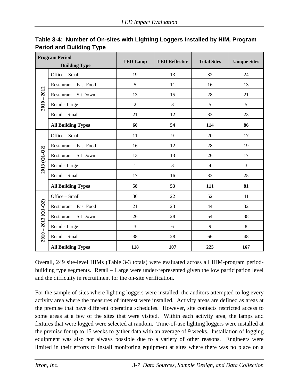| <b>Program Period</b><br><b>Building Type</b> |                              | <b>LED Lamp</b> | <b>LED Reflector</b> | <b>Total Sites</b> | <b>Unique Sites</b> |
|-----------------------------------------------|------------------------------|-----------------|----------------------|--------------------|---------------------|
|                                               | Office - Small               | 19              | 13                   | 32                 | 24                  |
|                                               | Restaurant - Fast Food       | 5               | 11                   | 16                 | 13                  |
|                                               | Restaurant - Sit Down        | 13              | 15                   | 28                 | 21                  |
| $2010 - 2012$                                 | Retail - Large               | $\overline{2}$  | 3                    | 5                  | 5                   |
|                                               | Retail - Small               | 21              | 12                   | 33                 | 23                  |
|                                               | <b>All Building Types</b>    | 60              | 54                   | 114                | 86                  |
|                                               | Office - Small               | 11              | 9                    | 20                 | 17                  |
|                                               | Restaurant - Fast Food       | 16              | 12                   | 28                 | 19                  |
| $2013(Q1-Q2)$                                 | <b>Restaurant - Sit Down</b> | 13              | 13                   | 26                 | 17                  |
|                                               | Retail - Large               | 1               | 3                    | $\overline{4}$     | 3                   |
|                                               | Retail - Small               | 17              | 16                   | 33                 | 25                  |
|                                               | <b>All Building Types</b>    | 58              | 53                   | 111                | 81                  |
|                                               | Office - Small               | 30              | 22                   | 52                 | 41                  |
|                                               | Restaurant - Fast Food       | 21              | 23                   | 44                 | 32                  |
|                                               | Restaurant - Sit Down        | 26              | 28                   | 54                 | 38                  |
|                                               | Retail - Large               | 3               | 6                    | 9                  | 8                   |
| $2010 - 2013$ (Q1-Q2)                         | Retail - Small               | 38              | 28                   | 66                 | 48                  |
|                                               | <b>All Building Types</b>    | 118             | 107                  | 225                | 167                 |

<span id="page-22-0"></span>

| Table 3-4: Number of On-sites with Lighting Loggers Installed by HIM, Program |  |
|-------------------------------------------------------------------------------|--|
| <b>Period and Building Type</b>                                               |  |

Overall, 249 site-level HIMs [\(Table 3-3](#page-21-0) totals) were evaluated across all HIM-program periodbuilding type segments. Retail – Large were under-represented given the low participation level and the difficulty in recruitment for the on-site verification.

For the sample of sites where lighting loggers were installed, the auditors attempted to log every activity area where the measures of interest were installed. Activity areas are defined as areas at the premise that have different operating schedules. However, site contacts restricted access to some areas at a few of the sites that were visited. Within each activity area, the lamps and fixtures that were logged were selected at random. Time-of-use lighting loggers were installed at the premise for up to 15 weeks to gather data with an average of 9 weeks. Installation of logging equipment was also not always possible due to a variety of other reasons. Engineers were limited in their efforts to install monitoring equipment at sites where there was no place on a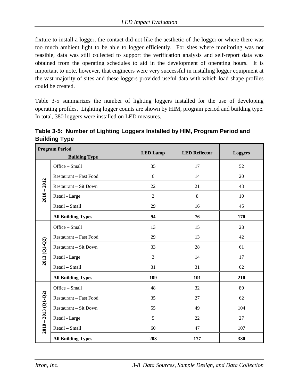fixture to install a logger, the contact did not like the aesthetic of the logger or where there was too much ambient light to be able to logger efficiently. For sites where monitoring was not feasible, data was still collected to support the verification analysis and self-report data was obtained from the operating schedules to aid in the development of operating hours. It is important to note, however, that engineers were very successful in installing logger equipment at the vast majority of sites and these loggers provided useful data with which load shape profiles could be created.

[Table 3-5](#page-23-0) summarizes the number of lighting loggers installed for the use of developing operating profiles. Lighting logger counts are shown by HIM, program period and building type. In total, 380 loggers were installed on LED measures.

<span id="page-23-0"></span>**Table 3-5: Number of Lighting Loggers Installed by HIM, Program Period and Building Type**

| <b>Program Period</b><br><b>Building Type</b> |                              | <b>LED Lamp</b> | <b>LED Reflector</b> | <b>Loggers</b> |
|-----------------------------------------------|------------------------------|-----------------|----------------------|----------------|
|                                               | Office - Small               | 35              | 17                   | 52             |
|                                               | Restaurant - Fast Food       | 6               | 14                   | 20             |
| $2010 - 2012$                                 | <b>Restaurant – Sit Down</b> | 22              | 21                   | 43             |
|                                               | Retail - Large               | $\overline{2}$  | $8\,$                | 10             |
|                                               | Retail - Small               | 29              | 16                   | 45             |
|                                               | <b>All Building Types</b>    | 94              | 76                   | 170            |
|                                               | Office - Small               | 13              | 15                   | 28             |
|                                               | Restaurant - Fast Food       | 29              | 13                   | 42             |
| $2013$ (Q1-Q2)                                | Restaurant - Sit Down        | 33              | 28                   | 61             |
|                                               | Retail - Large               | 3               | 14                   | 17             |
|                                               | Retail - Small               | 31              | 31                   | 62             |
|                                               | <b>All Building Types</b>    | 109             | 101                  | 210            |
|                                               | Office - Small               | 48              | 32                   | 80             |
|                                               | Restaurant - Fast Food       | 35              | 27                   | 62             |
|                                               | Restaurant - Sit Down        | 55              | 49                   | 104            |
|                                               | Retail - Large               | 5               | 22                   | 27             |
| $2010 - 2013$ (Q1-Q2)                         | Retail - Small               | 60              | 47                   | 107            |
|                                               | <b>All Building Types</b>    | 203             | 177                  | 380            |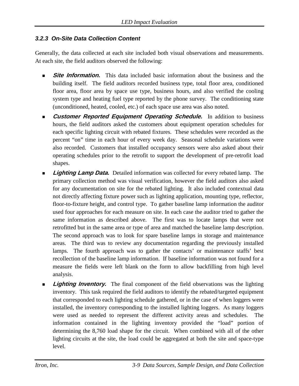#### *3.2.3 On-Site Data Collection Content*

Generally, the data collected at each site included both visual observations and measurements. At each site, the field auditors observed the following:

- **Site Information.** This data included basic information about the business and the building itself. The field auditors recorded business type, total floor area, conditioned floor area, floor area by space use type, business hours, and also verified the cooling system type and heating fuel type reported by the phone survey. The conditioning state (unconditioned, heated, cooled, etc.) of each space use area was also noted.
- **Customer Reported Equipment Operating Schedule.** In addition to business hours, the field auditors asked the customers about equipment operation schedules for each specific lighting circuit with rebated fixtures. These schedules were recorded as the percent "on" time in each hour of every week day. Seasonal schedule variations were also recorded. Customers that installed occupancy sensors were also asked about their operating schedules prior to the retrofit to support the development of pre-retrofit load shapes.
- **Lighting Lamp Data.** Detailed information was collected for every rebated lamp. The primary collection method was visual verification, however the field auditors also asked for any documentation on site for the rebated lighting. It also included contextual data not directly affecting fixture power such as lighting application, mounting type, reflector, floor-to-fixture height, and control type. To gather baseline lamp information the auditor used four approaches for each measure on site. In each case the auditor tried to gather the same information as described above. The first was to locate lamps that were not retrofitted but in the same area or type of area and matched the baseline lamp description. The second approach was to look for spare baseline lamps in storage and maintenance areas. The third was to review any documentation regarding the previously installed lamps. The fourth approach was to gather the contacts' or maintenance staffs' best recollection of the baseline lamp information. If baseline information was not found for a measure the fields were left blank on the form to allow backfilling from high level analysis.
- **Lighting Inventory.** The final component of the field observations was the lighting inventory. This task required the field auditors to identify the rebated/targeted equipment that corresponded to each lighting schedule gathered, or in the case of when loggers were installed, the inventory corresponding to the installed lighting loggers. As many loggers were used as needed to represent the different activity areas and schedules. The information contained in the lighting inventory provided the "load" portion of determining the 8,760 load shape for the circuit. When combined with all of the other lighting circuits at the site, the load could be aggregated at both the site and space-type level.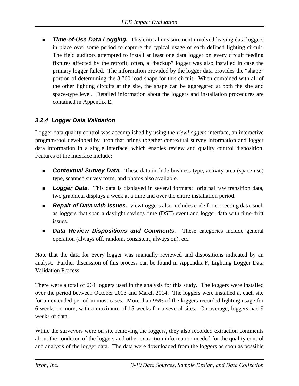*Time-of-Use Data Logging.* This critical measurement involved leaving data loggers in place over some period to capture the typical usage of each defined lighting circuit. The field auditors attempted to install at least one data logger on every circuit feeding fixtures affected by the retrofit; often, a "backup" logger was also installed in case the primary logger failed. The information provided by the logger data provides the "shape" portion of determining the 8,760 load shape for this circuit. When combined with all of the other lighting circuits at the site, the shape can be aggregated at both the site and space-type level. Detailed information about the loggers and installation procedures are contained in Appendix E.

#### *3.2.4 Logger Data Validation*

Logger data quality control was accomplished by using the *viewLoggers* interface, an interactive program/tool developed by Itron that brings together contextual survey information and logger data information in a single interface, which enables review and quality control disposition. Features of the interface include:

- **Contextual Survey Data.** These data include business type, activity area (space use) type, scanned survey form, and photos also available.
- **Logger Data.** This data is displayed in several formats: original raw transition data, two graphical displays a week at a time and over the entire installation period.
- *Repair of Data with Issues.* viewLoggers also includes code for correcting data, such as loggers that span a daylight savings time (DST) event and logger data with time-drift issues.
- *Data Review Dispositions and Comments.* These categories include general operation (always off, random, consistent, always on), etc.

Note that the data for every logger was manually reviewed and dispositions indicated by an analyst. Further discussion of this process can be found in Appendix F, Lighting Logger Data Validation Process.

There were a total of 264 loggers used in the analysis for this study. The loggers were installed over the period between October 2013 and March 2014. The loggers were installed at each site for an extended period in most cases. More than 95% of the loggers recorded lighting usage for 6 weeks or more, with a maximum of 15 weeks for a several sites. On average, loggers had 9 weeks of data.

While the surveyors were on site removing the loggers, they also recorded extraction comments about the condition of the loggers and other extraction information needed for the quality control and analysis of the logger data. The data were downloaded from the loggers as soon as possible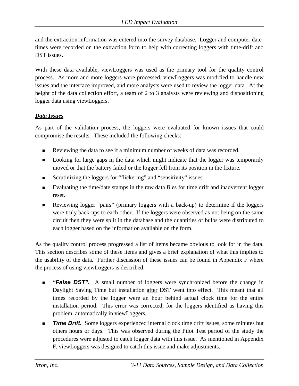and the extraction information was entered into the survey database. Logger and computer datetimes were recorded on the extraction form to help with correcting loggers with time-drift and DST issues.

With these data available, viewLoggers was used as the primary tool for the quality control process. As more and more loggers were processed, viewLoggers was modified to handle new issues and the interface improved, and more analysts were used to review the logger data. At the height of the data collection effort, a team of 2 to 3 analysts were reviewing and dispositioning logger data using viewLoggers.

#### *Data Issues*

As part of the validation process, the loggers were evaluated for known issues that could compromise the results. These included the following checks:

- Reviewing the data to see if a minimum number of weeks of data was recorded.
- **EXECUTE:** Looking for large gaps in the data which might indicate that the logger was temporarily moved or that the battery failed or the logger fell from its position in the fixture.
- Scrutinizing the loggers for "flickering" and "sensitivity" issues.
- Evaluating the time/date stamps in the raw data files for time drift and inadvertent logger reset.
- Reviewing logger "pairs" (primary loggers with a back-up) to determine if the loggers were truly back-ups to each other. If the loggers were observed as not being on the same circuit then they were split in the database and the quantities of bulbs were distributed to each logger based on the information available on the form.

As the quality control process progressed a list of items became obvious to look for in the data. This section describes some of these items and gives a brief explanation of what this implies to the usability of the data. Further discussion of these issues can be found in Appendix F where the process of using viewLoggers is described.

- **False DST".** A small number of loggers were synchronized before the change in Daylight Saving Time but installation after DST went into effect. This meant that all times recorded by the logger were an hour behind actual clock time for the entire installation period. This error was corrected, for the loggers identified as having this problem, automatically in viewLoggers.
- **Time Drift.** Some loggers experienced internal clock time drift issues, some minutes but others hours or days. This was observed during the Pilot Test period of the study the procedures were adjusted to catch logger data with this issue. As mentioned in Appendix F, viewLoggers was designed to catch this issue and make adjustments.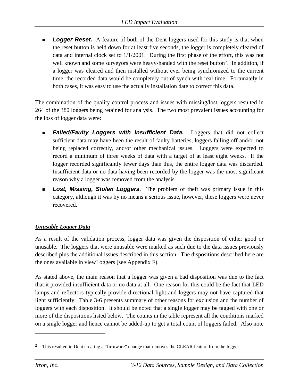**Logger Reset.** A feature of both of the Dent loggers used for this study is that when the reset button is held down for at least five seconds, the logger is completely cleared of data and internal clock set to 1/1/2001. During the first phase of the effort, this was not well known and some surveyors were heavy-handed with the reset button<sup>[2](#page-27-0)</sup>. In addition, if a logger was cleared and then installed without ever being synchronized to the current time, the recorded data would be completely out of synch with real time. Fortunately in both cases, it was easy to use the actually installation date to correct this data.

The combination of the quality control process and issues with missing/lost loggers resulted in 264 of the 380 loggers being retained for analysis. The two most prevalent issues accounting for the loss of logger data were:

- **Failed/Faulty Loggers with Insufficient Data.** Loggers that did not collect sufficient data may have been the result of faulty batteries, loggers falling off and/or not being replaced correctly, and/or other mechanical issues. Loggers were expected to record a minimum of three weeks of data with a target of at least eight weeks. If the logger recorded significantly fewer days than this, the entire logger data was discarded. Insufficient data or no data having been recorded by the logger was the most significant reason why a logger was removed from the analysis.
- **Lost, Missing, Stolen Loggers.** The problem of theft was primary issue in this category, although it was by no means a serious issue, however, these loggers were never recovered.

## *Unusable Logger Data*

As a result of the validation process, logger data was given the disposition of either good or unusable. The loggers that were unusable were marked as such due to the data issues previously described plus the additional issues described in this section. The dispositions described here are the ones available in viewLoggers (see Appendix F).

As stated above, the main reason that a logger was given a bad disposition was due to the fact that it provided insufficient data or no data at all. One reason for this could be the fact that LED lamps and reflectors typically provide directional light and loggers may not have captured that light sufficiently. [Table 3-6](#page-28-0) presents summary of other reasons for exclusion and the number of loggers with each disposition. It should be noted that a single logger may be tagged with one or more of the dispositions listed below. The counts in the table represent all the conditions marked on a single logger and hence cannot be added-up to get a total count of loggers failed. Also note

 $\overline{a}$ 

<span id="page-27-0"></span><sup>&</sup>lt;sup>2</sup> This resulted in Dent creating a "firmware" change that removes the CLEAR feature from the logger.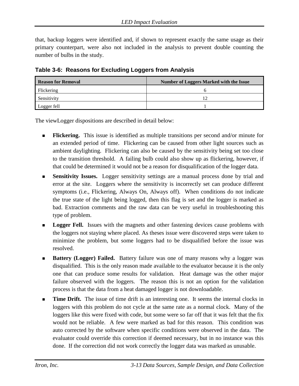that, backup loggers were identified and, if shown to represent exactly the same usage as their primary counterpart, were also not included in the analysis to prevent double counting the number of bulbs in the study.

<span id="page-28-0"></span>

|  |  | Table 3-6: Reasons for Excluding Loggers from Analysis |  |  |  |
|--|--|--------------------------------------------------------|--|--|--|
|--|--|--------------------------------------------------------|--|--|--|

| <b>Reason for Removal</b> | <b>Number of Loggers Marked with the Issue</b> |  |  |  |  |
|---------------------------|------------------------------------------------|--|--|--|--|
| Flickering                |                                                |  |  |  |  |
| Sensitivity               |                                                |  |  |  |  |
| Logger fell               |                                                |  |  |  |  |

The viewLogger dispositions are described in detail below:

- **Flickering.** This issue is identified as multiple transitions per second and/or minute for an extended period of time. Flickering can be caused from other light sources such as ambient daylighting. Flickering can also be caused by the sensitivity being set too close to the transition threshold. A failing bulb could also show up as flickering, however, if that could be determined it would not be a reason for disqualification of the logger data.
- **Sensitivity Issues.** Logger sensitivity settings are a manual process done by trial and error at the site. Loggers where the sensitivity is incorrectly set can produce different symptoms (i.e., Flickering, Always On, Always off). When conditions do not indicate the true state of the light being logged, then this flag is set and the logger is marked as bad. Extraction comments and the raw data can be very useful in troubleshooting this type of problem.
- **Logger Fell.** Issues with the magnets and other fastening devices cause problems with the loggers not staying where placed. As theses issue were discovered steps were taken to minimize the problem, but some loggers had to be disqualified before the issue was resolved.
- **Battery (Logger) Failed.** Battery failure was one of many reasons why a logger was disqualified. This is the only reason made available to the evaluator because it is the only one that can produce some results for validation. Heat damage was the other major failure observed with the loggers. The reason this is not an option for the validation process is that the data from a heat damaged logger is not downloadable.
- **Time Drift.** The issue of time drift is an interesting one. It seems the internal clocks in loggers with this problem do not cycle at the same rate as a normal clock. Many of the loggers like this were fixed with code, but some were so far off that it was felt that the fix would not be reliable. A few were marked as bad for this reason. This condition was auto corrected by the software when specific conditions were observed in the data. The evaluator could override this correction if deemed necessary, but in no instance was this done. If the correction did not work correctly the logger data was marked as unusable.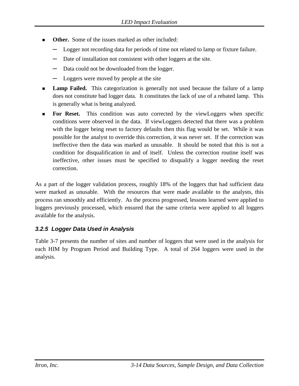- **Other.** Some of the issues marked as other included:
	- Logger not recording data for periods of time not related to lamp or fixture failure.
	- **─** Date of installation not consistent with other loggers at the site.
	- **─** Data could not be downloaded from the logger.
	- Loggers were moved by people at the site
- Lamp Failed. This categorization is generally not used because the failure of a lamp does not constitute bad logger data. It constitutes the lack of use of a rebated lamp. This is generally what is being analyzed.
- For Reset. This condition was auto corrected by the viewLoggers when specific conditions were observed in the data. If viewLoggers detected that there was a problem with the logger being reset to factory defaults then this flag would be set. While it was possible for the analyst to override this correction, it was never set. If the correction was ineffective then the data was marked as unusable. It should be noted that this is not a condition for disqualification in and of itself. Unless the correction routine itself was ineffective, other issues must be specified to disqualify a logger needing the reset correction.

As a part of the logger validation process, roughly 18% of the loggers that had sufficient data were marked as unusable. With the resources that were made available to the analysts, this process ran smoothly and efficiently. As the process progressed, lessons learned were applied to loggers previously processed, which ensured that the same criteria were applied to all loggers available for the analysis.

## *3.2.5 Logger Data Used in Analysis*

[Table 3-7](#page-30-0) presents the number of sites and number of loggers that were used in the analysis for each HIM by Program Period and Building Type. A total of 264 loggers were used in the analysis.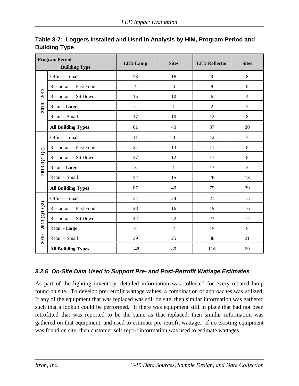|                       | <b>Program Period</b><br><b>Building Type</b> | <b>LED Lamp</b> | <b>Sites</b>   | <b>LED Reflector</b> | <b>Sites</b>   |
|-----------------------|-----------------------------------------------|-----------------|----------------|----------------------|----------------|
|                       | Office - Small                                | 23              | 16             | 9                    | $\,8\,$        |
|                       | Restaurant - Fast Food                        | $\overline{4}$  | 3              | 8                    | 8              |
|                       | Restaurant - Sit Down                         | 15              | 10             | 6                    | $\overline{4}$ |
| $2010 - 2012$         | Retail - Large                                | $\overline{2}$  | $\mathbf{1}$   | $\overline{2}$       | $\overline{2}$ |
|                       | Retail - Small                                | 17              | 10             | 12                   | 8              |
|                       | <b>All Building Types</b>                     | 61              | 40             | 37                   | 30             |
|                       | Office - Small                                | 11              | 8              | 12                   | $\overline{7}$ |
|                       | Restaurant - Fast Food                        | 24              | 13             | 11                   | 8              |
| 2013 (Q1-Q2)          | Restaurant - Sit Down                         | 27              | 12             | 17                   | 8              |
|                       | Retail - Large                                | 3               | $\mathbf{1}$   | 13                   | 3              |
|                       | Retail - Small                                | 22              | 15             | 26                   | 13             |
|                       | <b>All Building Types</b>                     | 87              | 49             | 79                   | 39             |
|                       | Office - Small                                | 34              | 24             | 21                   | 15             |
|                       | Restaurant - Fast Food                        | 28              | 16             | 19                   | 16             |
|                       | Restaurant - Sit Down                         | 42              | 22             | 23                   | 12             |
|                       | Retail - Large                                | 5               | $\overline{2}$ | 15                   | 5              |
| $2010 - 2013$ (Q1-Q2) | Retail - Small                                | 39              | 25             | 38                   | 21             |
|                       | <b>All Building Types</b>                     | 148             | 89             | 116                  | 69             |

## <span id="page-30-0"></span>**Table 3-7: Loggers Installed and Used in Analysis by HIM, Program Period and Building Type**

## *3.2.6 On-Site Data Used to Support Pre- and Post-Retrofit Wattage Estimates*

As part of the lighting inventory, detailed information was collected for every rebated lamp found on site. To develop pre-retrofit wattage values, a combination of approaches was utilized. If any of the equipment that was replaced was still on site, then similar information was gathered such that a lookup could be performed. If there was equipment still in place that had not been retrofitted that was reported to be the same as that replaced, then similar information was gathered on that equipment, and used to estimate pre-retrofit wattage. If no existing equipment was found on site, then customer self-report information was used to estimate wattages.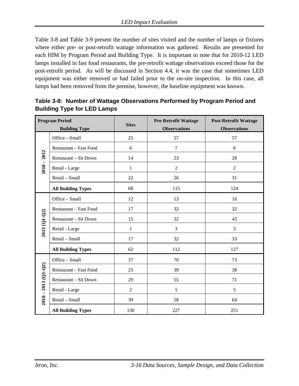[Table 3-8](#page-31-0) and [Table 3-9](#page-32-0) present the number of sites visited and the number of lamps or fixtures where either pre- or post-retrofit wattage information was gathered. Results are presented for each HIM by Program Period and Building Type. It is important to note that for 2010-12 LED lamps installed in fast food restaurants, the pre-retrofit wattage observations exceed those for the post-retrofit period. As will be discussed in Section 4.4, it was the case that sometimes LED equipment was either removed or had failed prior to the on-site inspection. In this case, all lamps had been removed from the premise, however, the baseline equipment was known.

| <b>Program Period</b> |                           | <b>Sites</b>   | <b>Pre-Retrofit Wattage</b> | <b>Post-Retrofit Wattage</b> |  |
|-----------------------|---------------------------|----------------|-----------------------------|------------------------------|--|
|                       | <b>Building Type</b>      |                | <b>Observations</b>         | <b>Observations</b>          |  |
|                       | Office - Small            | 25             | 57                          | 57                           |  |
|                       | Restaurant - Fast Food    | 6              | $\tau$                      | 6                            |  |
|                       | Restaurant - Sit Down     | 14             | 23                          | 28                           |  |
| $2010 - 2012$         | Retail - Large            | $\mathbf{1}$   | $\overline{c}$              | $\overline{2}$               |  |
|                       | Retail - Small            | 22             | 26                          | 31                           |  |
|                       | <b>All Building Types</b> | 68             | 115                         | 124                          |  |
|                       | Office - Small            | 12             | 13                          | 16                           |  |
|                       | Restaurant - Fast Food    | 17             | 32                          | 32                           |  |
|                       | Restaurant - Sit Down     | 15             | 32                          | 43                           |  |
| 2013 (Q1-Q2)          | Retail - Large            | $\mathbf{1}$   | 3                           | 3                            |  |
|                       | Retail - Small            | 17             | 32                          | 33                           |  |
|                       | <b>All Building Types</b> | 62             | 112                         | 127                          |  |
|                       | Office - Small            | 37             | 70                          | 73                           |  |
|                       | Restaurant - Fast Food    | 23             | 39                          | 38                           |  |
|                       | Restaurant - Sit Down     | 29             | 55                          | 71                           |  |
|                       | Retail - Large            | $\overline{2}$ | 5                           | 5                            |  |
| $2010 - 2013$ (Q1-Q2) | Retail - Small            | 39             | 58                          | 64                           |  |
|                       | <b>All Building Types</b> | 130            | 227                         | 251                          |  |

<span id="page-31-0"></span>**Table 3-8: Number of Wattage Observations Performed by Program Period and Building Type for LED Lamps**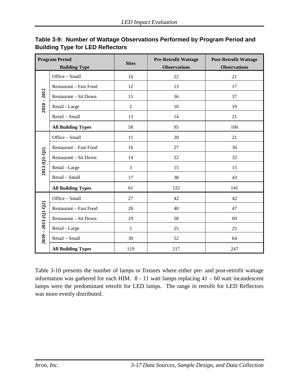| <b>Program Period</b> |                              | <b>Pre-Retrofit Wattage</b><br><b>Sites</b> |                     | <b>Post-Retrofit Wattage</b> |  |
|-----------------------|------------------------------|---------------------------------------------|---------------------|------------------------------|--|
|                       | <b>Building Type</b>         |                                             | <b>Observations</b> | <b>Observations</b>          |  |
|                       | Office - Small               | 16                                          | 22                  | 21                           |  |
|                       | Restaurant - Fast Food       | 12                                          | 13                  | 17                           |  |
|                       | <b>Restaurant - Sit Down</b> | 15                                          | 36                  | 37                           |  |
| $2010 - 2012$         | Retail - Large               | $\overline{2}$                              | 10                  | 10                           |  |
|                       | Retail - Small               | 13                                          | 14                  | 21                           |  |
|                       | <b>All Building Types</b>    | 58                                          | 95                  | 106                          |  |
|                       | Office - Small               | 11                                          | 20                  | 21                           |  |
|                       | Restaurant - Fast Food       | 16                                          | 27                  | 30                           |  |
| 2013 (Q1-Q2)          | Restaurant - Sit Down        | 14                                          | 22                  | 32                           |  |
|                       | Retail - Large               | 3                                           | 15                  | 15                           |  |
|                       | Retail - Small               | 17                                          | 38                  | 43                           |  |
|                       | <b>All Building Types</b>    | 61                                          | 122                 | 141                          |  |
|                       | Office - Small               | 27                                          | 42                  | 42                           |  |
|                       | Restaurant - Fast Food       | 28                                          | 40                  | 47                           |  |
|                       | Restaurant - Sit Down        | 29                                          | 58                  | 69                           |  |
|                       | Retail - Large               | 5                                           | 25                  | 25                           |  |
| $2010 - 2013$ (Q1-Q2) | Retail - Small               | 30                                          | 52                  | 64                           |  |
|                       | <b>All Building Types</b>    | 119                                         | 217                 | 247                          |  |

## <span id="page-32-0"></span>**Table 3-9: Number of Wattage Observations Performed by Program Period and Building Type for LED Reflectors**

[Table 3-10](#page-33-0) presents the number of lamps or fixtures where either pre- and post-retrofit wattage information was gathered for each HIM. 8 - 11 watt lamps replacing 41 – 60 watt incandescent lamps were the predominant retrofit for LED lamps. The range in retrofit for LED Reflectors was more evenly distributed.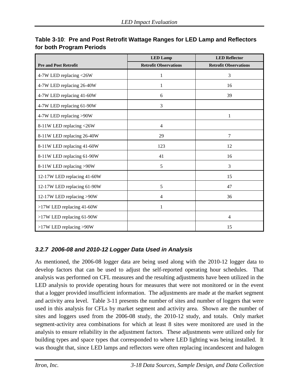|                              | <b>LED</b> Lamp              | <b>LED Reflector</b>         |
|------------------------------|------------------------------|------------------------------|
| <b>Pre and Post Retrofit</b> | <b>Retrofit Observations</b> | <b>Retrofit Observations</b> |
| 4-7W LED replacing <26W      | 1                            | 3                            |
| 4-7W LED replacing 26-40W    | 1                            | 16                           |
| 4-7W LED replacing 41-60W    | 6                            | 39                           |
| 4-7W LED replacing 61-90W    | 3                            |                              |
| 4-7W LED replacing >90W      |                              | $\mathbf{1}$                 |
| 8-11W LED replacing <26W     | 4                            |                              |
| 8-11W LED replacing 26-40W   | 29                           | $7\phantom{.0}$              |
| 8-11W LED replacing 41-60W   | 123                          | 12                           |
| 8-11W LED replacing 61-90W   | 41                           | 16                           |
| 8-11W LED replacing >90W     | 5                            | 3                            |
| 12-17W LED replacing 41-60W  |                              | 15                           |
| 12-17W LED replacing 61-90W  | 5                            | 47                           |
| 12-17W LED replacing >90W    | $\overline{4}$               | 36                           |
| >17W LED replacing 41-60W    | 1                            |                              |
| >17W LED replacing 61-90W    |                              | 4                            |
| >17W LED replacing >90W      |                              | 15                           |

## <span id="page-33-0"></span>**Table 3-10**: **Pre and Post Retrofit Wattage Ranges for LED Lamp and Reflectors for both Program Periods**

# *3.2.7 2006-08 and 2010-12 Logger Data Used in Analysis*

As mentioned, the 2006-08 logger data are being used along with the 2010-12 logger data to develop factors that can be used to adjust the self-reported operating hour schedules. That analysis was performed on CFL measures and the resulting adjustments have been utilized in the LED analysis to provide operating hours for measures that were not monitored or in the event that a logger provided insufficient information. The adjustments are made at the market segment and activity area level. [Table 3-11](#page-35-0) presents the number of sites and number of loggers that were used in this analysis for CFLs by market segment and activity area. Shown are the number of sites and loggers used from the 2006-08 study, the 2010-12 study, and totals. Only market segment-activity area combinations for which at least 8 sites were monitored are used in the analysis to ensure reliability in the adjustment factors. These adjustments were utilized only for building types and space types that corresponded to where LED lighting was being installed. It was thought that, since LED lamps and reflectors were often replacing incandescent and halogen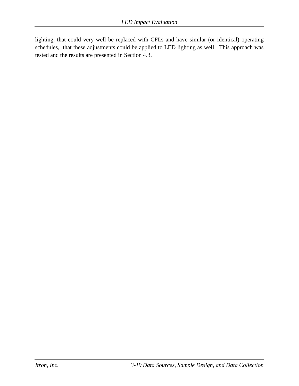lighting, that could very well be replaced with CFLs and have similar (or identical) operating schedules, that these adjustments could be applied to LED lighting as well. This approach was tested and the results are presented in Section 4.3.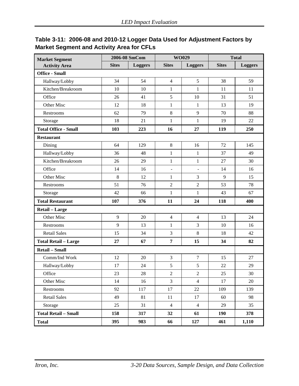| <b>Market Segment</b>       |              | 2006-08 SmCom  |                | WO029          |              | <b>Total</b>   |
|-----------------------------|--------------|----------------|----------------|----------------|--------------|----------------|
| <b>Activity Area</b>        | <b>Sites</b> | <b>Loggers</b> | <b>Sites</b>   | <b>Loggers</b> | <b>Sites</b> | <b>Loggers</b> |
| <b>Office - Small</b>       |              |                |                |                |              |                |
| Hallway/Lobby               | 34           | 54             | $\overline{4}$ | 5              | 38           | 59             |
| Kitchen/Breakroom           | 10           | 10             | $\mathbf{1}$   | $\mathbf{1}$   | 11           | 11             |
| Office                      | 26           | 41             | 5              | 10             | 31           | 51             |
| Other Misc                  | 12           | 18             | $\mathbf{1}$   | $\mathbf{1}$   | 13           | 19             |
| Restrooms                   | 62           | 79             | 8              | 9              | 70           | 88             |
| Storage                     | 18           | 21             | $\mathbf{1}$   | $\mathbf{1}$   | 19           | 22             |
| <b>Total Office - Small</b> | 103          | 223            | 16             | 27             | 119          | 250            |
| <b>Restaurant</b>           |              |                |                |                |              |                |
| Dining                      | 64           | 129            | 8              | 16             | 72           | 145            |
| Hallway/Lobby               | 36           | 48             | $\mathbf{1}$   | 1              | 37           | 49             |
| Kitchen/Breakroom           | 26           | 29             | $\mathbf{1}$   | $\mathbf{1}$   | 27           | 30             |
| Office                      | 14           | 16             |                |                | 14           | 16             |
| Other Misc                  | 8            | 12             | $\mathbf{1}$   | 3              | 9            | 15             |
| Restrooms                   | 51           | 76             | $\overline{2}$ | $\overline{2}$ | 53           | 78             |
| Storage                     | 42           | 66             | $\mathbf{1}$   | $\mathbf{1}$   | 43           | 67             |
| <b>Total Restaurant</b>     | 107          | 376            | 11             | 24             | 118          | 400            |
| Retail - Large              |              |                |                |                |              |                |
| Other Misc                  | 9            | 20             | $\overline{4}$ | $\overline{4}$ | 13           | 24             |
| Restrooms                   | 9            | 13             | $\mathbf{1}$   | 3              | 10           | 16             |
| <b>Retail Sales</b>         | 15           | 34             | 3              | 8              | 18           | 42             |
| <b>Total Retail - Large</b> | 27           | 67             | $\overline{7}$ | 15             | 34           | 82             |
| Retail - Small              |              |                |                |                |              |                |
| Comm/Ind Work               | 12           | 20             | 3              | $\tau$         | 15           | 27             |
| Hallway/Lobby               | 17           | 24             | 5              | 5              | 22           | 29             |
| Office                      | 23           | 28             | $\mathbf{2}$   | $\overline{2}$ | 25           | 30             |
| Other Misc                  | 14           | 16             | $\overline{3}$ | $\overline{4}$ | 17           | $20\,$         |
| Restrooms                   | 92           | 117            | 17             | 22             | 109          | 139            |
| <b>Retail Sales</b>         | 49           | 81             | 11             | 17             | 60           | 98             |
| Storage                     | 25           | 31             | $\overline{4}$ | $\overline{4}$ | 29           | 35             |
| <b>Total Retail - Small</b> | 158          | 317            | 32             | 61             | 190          | 378            |
| <b>Total</b>                | 395          | 983            | 66             | 127            | 461          | 1,110          |

# <span id="page-35-0"></span>**Table 3-11: 2006-08 and 2010-12 Logger Data Used for Adjustment Factors by Market Segment and Activity Area for CFLs**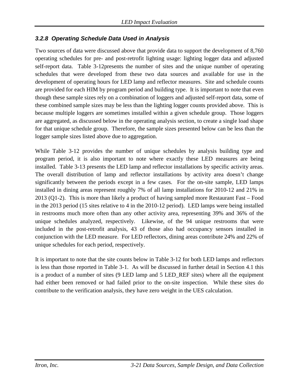#### *3.2.8 Operating Schedule Data Used in Analysis*

Two sources of data were discussed above that provide data to support the development of 8,760 operating schedules for pre- and post-retrofit lighting usage: lighting logger data and adjusted self-report data. [Table 3-12p](#page-37-0)resents the number of sites and the unique number of operating schedules that were developed from these two data sources and available for use in the development of operating hours for LED lamp and reflector measures. Site and schedule counts are provided for each HIM by program period and building type. It is important to note that even though these sample sizes rely on a combination of loggers and adjusted self-report data, some of these combined sample sizes may be less than the lighting logger counts provided above. This is because multiple loggers are sometimes installed within a given schedule group. Those loggers are aggregated, as discussed below in the operating analysis section, to create a single load shape for that unique schedule group. Therefore, the sample sizes presented below can be less than the logger sample sizes listed above due to aggregation.

While [Table 3-12](#page-37-0) provides the number of unique schedules by analysis building type and program period, it is also important to note where exactly these LED measures are being installed. [Table 3-13](#page-38-0) presents the LED lamp and reflector installations by specific activity areas. The overall distribution of lamp and reflector installations by activity area doesn't change significantly between the periods except in a few cases. For the on-site sample, LED lamps installed in dining areas represent roughly 7% of all lamp installations for 2010-12 and 21% in 2013 (Q1-2). This is more than likely a product of having sampled more Restaurant Fast – Food in the 2013 period (15 sites relative to 4 in the 2010-12 period). LED lamps were being installed in restrooms much more often than any other activity area, representing 39% and 36% of the unique schedules analyzed, respectively. Likewise, of the 94 unique restrooms that were included in the post-retrofit analysis, 43 of those also had occupancy sensors installed in conjunction with the LED measure. For LED reflectors, dining areas contribute 24% and 22% of unique schedules for each period, respectively.

It is important to note that the site counts below in [Table 3-12](#page-37-0) for both LED lamps and reflectors is less than those reported in [Table 3-1.](#page-19-0) As will be discussed in further detail in Section 4.1 this is a product of a number of sites (9 LED lamp and 5 LED\_REF sites) where all the equipment had either been removed or had failed prior to the on-site inspection. While these sites do contribute to the verification analysis, they have zero weight in the UES calculation.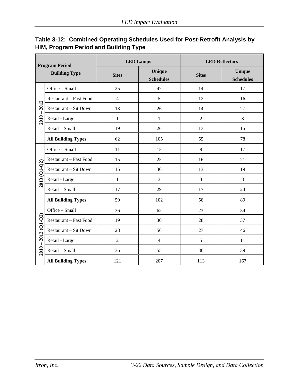| <b>Program Period</b> |                           | <b>LED Lamps</b> |                            |                | <b>LED Reflectors</b>             |
|-----------------------|---------------------------|------------------|----------------------------|----------------|-----------------------------------|
|                       | <b>Building Type</b>      | <b>Sites</b>     | Unique<br><b>Schedules</b> | <b>Sites</b>   | <b>Unique</b><br><b>Schedules</b> |
|                       | Office - Small            | 25               | 47                         | 14             | 17                                |
|                       | Restaurant - Fast Food    | $\overline{4}$   | 5                          | 12             | 16                                |
| 2012                  | Restaurant - Sit Down     | 13               | 26                         | 14             | 27                                |
| $2010 -$              | Retail - Large            | $\mathbf{1}$     | $\mathbf{1}$               | $\overline{2}$ | 3                                 |
|                       | Retail - Small            | 19               | 26                         | 13             | 15                                |
|                       | <b>All Building Types</b> | 62               | 105                        | 55             | 78                                |
|                       | Office - Small            | 11               | 15                         | 9              | 17                                |
|                       | Restaurant - Fast Food    | 15               | 25                         | 16             | 21                                |
| 2013 (01-02)          | Restaurant - Sit Down     | 15               | 30                         | 13             | 19                                |
|                       | Retail - Large            | $\mathbf{1}$     | 3                          | 3              | 8                                 |
|                       | Retail - Small            | 17               | 29                         | 17             | 24                                |
|                       | <b>All Building Types</b> | 59               | 102                        | 58             | 89                                |
|                       | Office - Small            | 36               | 62                         | 23             | 34                                |
|                       | Restaurant - Fast Food    | 19               | 30                         | 28             | 37                                |
|                       | Restaurant - Sit Down     | 28               | 56                         | 27             | 46                                |
|                       | Retail - Large            | $\overline{2}$   | $\overline{4}$             | 5              | 11                                |
| $2010 - 2013$ (Q1-Q2) | Retail - Small            | 36               | 55                         | 30             | 39                                |
|                       | <b>All Building Types</b> | 121              | 207                        | 113            | 167                               |

# <span id="page-37-0"></span>**Table 3-12: Combined Operating Schedules Used for Post-Retrofit Analysis by HIM, Program Period and Building Type**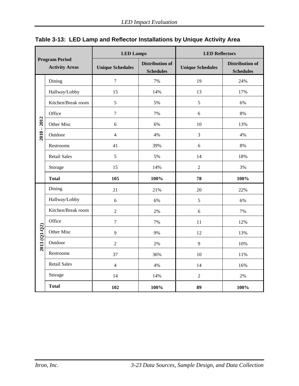|               |                                                | <b>LED Lamps</b>        |                                            | <b>LED Reflectors</b>   |                                            |  |
|---------------|------------------------------------------------|-------------------------|--------------------------------------------|-------------------------|--------------------------------------------|--|
|               | <b>Program Period</b><br><b>Activity Areas</b> | <b>Unique Schedules</b> | <b>Distribution of</b><br><b>Schedules</b> | <b>Unique Schedules</b> | <b>Distribution of</b><br><b>Schedules</b> |  |
|               | Dining                                         | $\boldsymbol{7}$        | 7%                                         | 19                      | 24%                                        |  |
|               | Hallway/Lobby                                  | 15                      | 14%                                        | 13                      | 17%                                        |  |
|               | Kitchen/Break room                             | 5                       | 5%                                         | 5                       | 6%                                         |  |
|               | Office                                         | $\boldsymbol{7}$        | 7%                                         | 6                       | 8%                                         |  |
| $2010 - 2012$ | Other Misc                                     | $\sqrt{6}$              | 6%                                         | 10                      | 13%                                        |  |
|               | Outdoor                                        | $\overline{4}$          | 4%                                         | 3                       | 4%                                         |  |
|               | Restrooms                                      | 41                      | 39%                                        | 6                       | 8%                                         |  |
|               | <b>Retail Sales</b>                            | $\sqrt{5}$              | 5%                                         | 14                      | 18%                                        |  |
|               | Storage                                        | 15                      | 14%                                        | $\overline{2}$          | 3%                                         |  |
|               | <b>Total</b>                                   | 105                     | 100%                                       | 78                      | 100%                                       |  |
|               | Dining                                         | 21                      | 21%                                        | 20                      | 22%                                        |  |
|               | Hallway/Lobby                                  | 6                       | 6%                                         | 5                       | 6%                                         |  |
|               | Kitchen/Break room                             | $\sqrt{2}$              | 2%                                         | 6                       | 7%                                         |  |
|               | Office                                         | $\tau$                  | 7%                                         | 11                      | 12%                                        |  |
| 2013 (Q1-Q2)  | Other Misc                                     | 9                       | 9%                                         | 12                      | 13%                                        |  |
|               | Outdoor                                        | $\overline{2}$          | 2%                                         | 9                       | 10%                                        |  |
|               | Restrooms                                      | 37                      | 36%                                        | 10                      | 11%                                        |  |
|               | <b>Retail Sales</b>                            | $\overline{4}$          | 4%                                         | 14                      | 16%                                        |  |
|               | Storage                                        | 14                      | 14%                                        | $\overline{2}$          | 2%                                         |  |
|               | <b>Total</b>                                   | 102                     | 100%                                       | 89                      | 100%                                       |  |

<span id="page-38-0"></span>

|  | Table 3-13: LED Lamp and Reflector Installations by Unique Activity Area |  |  |  |  |  |  |
|--|--------------------------------------------------------------------------|--|--|--|--|--|--|
|--|--------------------------------------------------------------------------|--|--|--|--|--|--|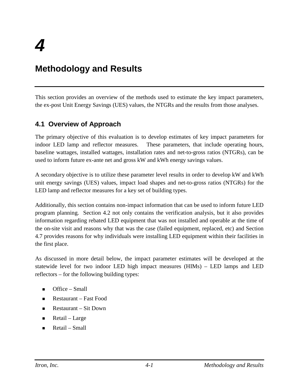# **Methodology and Results**

This section provides an overview of the methods used to estimate the key impact parameters, the ex-post Unit Energy Savings (UES) values, the NTGRs and the results from those analyses.

# **4.1 Overview of Approach**

The primary objective of this evaluation is to develop estimates of key impact parameters for indoor LED lamp and reflector measures. These parameters, that include operating hours, baseline wattages, installed wattages, installation rates and net-to-gross ratios (NTGRs), can be used to inform future ex-ante net and gross kW and kWh energy savings values.

A secondary objective is to utilize these parameter level results in order to develop kW and kWh unit energy savings (UES) values, impact load shapes and net-to-gross ratios (NTGRs) for the LED lamp and reflector measures for a key set of building types.

Additionally, this section contains non-impact information that can be used to inform future LED program planning. Section [4.2 n](#page-42-0)ot only contains the verification analysis, but it also provides information regarding rebated LED equipment that was not installed and operable at the time of the on-site visit and reasons why that was the case (failed equipment, replaced, etc) and Section [4.7 p](#page-69-0)rovides reasons for why individuals were installing LED equipment within their facilities in the first place.

As discussed in more detail below, the impact parameter estimates will be developed at the statewide level for two indoor LED high impact measures (HIMs) – LED lamps and LED reflectors – for the following building types:

- $\blacksquare$  Office Small
- Restaurant Fast Food
- Restaurant Sit Down
- $\blacksquare$  Retail Large
- $\blacksquare$  Retail Small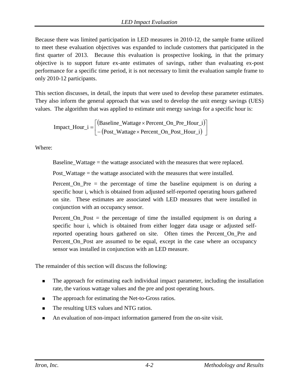Because there was limited participation in LED measures in 2010-12, the sample frame utilized to meet these evaluation objectives was expanded to include customers that participated in the first quarter of 2013. Because this evaluation is prospective looking, in that the primary objective is to support future ex-ante estimates of savings, rather than evaluating ex-post performance for a specific time period, it is not necessary to limit the evaluation sample frame to only 2010-12 participants.

This section discusses, in detail, the inputs that were used to develop these parameter estimates. They also inform the general approach that was used to develop the unit energy savings (UES) values. The algorithm that was applied to estimate unit energy savings for a specific hour is:

$$
Import\_Hour\_i = \begin{bmatrix} (Baseline\_Wattage \times Percent\_On\_Pre\_Hour\_i) \\ -(Post\_Wattage \times Percent\_On\_Post\_Hour\_i) \end{bmatrix}
$$

Where:

Baseline\_Wattage = the wattage associated with the measures that were replaced.

Post\_Wattage = the wattage associated with the measures that were installed.

Percent\_On\_Pre = the percentage of time the baseline equipment is on during a specific hour i, which is obtained from adjusted self-reported operating hours gathered on site. These estimates are associated with LED measures that were installed in conjunction with an occupancy sensor.

Percent\_On\_Post = the percentage of time the installed equipment is on during a specific hour i, which is obtained from either logger data usage or adjusted selfreported operating hours gathered on site. Often times the Percent\_On\_Pre and Percent\_On\_Post are assumed to be equal, except in the case where an occupancy sensor was installed in conjunction with an LED measure.

The remainder of this section will discuss the following:

- The approach for estimating each individual impact parameter, including the installation rate, the various wattage values and the pre and post operating hours.
- The approach for estimating the Net-to-Gross ratios.
- The resulting UES values and NTG ratios.
- An evaluation of non-impact information garnered from the on-site visit.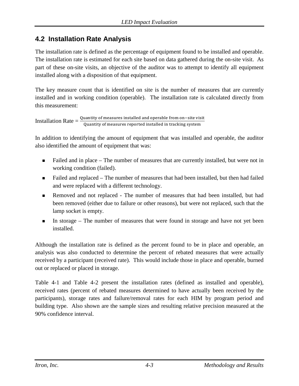# <span id="page-42-0"></span>**4.2 Installation Rate Analysis**

The installation rate is defined as the percentage of equipment found to be installed and operable. The installation rate is estimated for each site based on data gathered during the on-site visit. As part of these on-site visits, an objective of the auditor was to attempt to identify all equipment installed along with a disposition of that equipment.

The key measure count that is identified on site is the number of measures that are currently installed and in working condition (operable). The installation rate is calculated directly from this measurement:

Installation Rate = Quantity of measures installed and operable from on−site visit Quantity of measures reported installed in tracking system

In addition to identifying the amount of equipment that was installed and operable, the auditor also identified the amount of equipment that was:

- Failed and in place The number of measures that are currently installed, but were not in working condition (failed).
- Failed and replaced The number of measures that had been installed, but then had failed and were replaced with a different technology.
- Removed and not replaced The number of measures that had been installed, but had been removed (either due to failure or other reasons), but were not replaced, such that the lamp socket is empty.
- In storage The number of measures that were found in storage and have not yet been installed.

Although the installation rate is defined as the percent found to be in place and operable, an analysis was also conducted to determine the percent of rebated measures that were actually received by a participant (received rate). This would include those in place and operable, burned out or replaced or placed in storage.

[Table 4-1](#page-43-0) and [Table 4-2](#page-44-0) present the installation rates (defined as installed and operable), received rates (percent of rebated measures determined to have actually been received by the participants), storage rates and failure/removal rates for each HIM by program period and building type. Also shown are the sample sizes and resulting relative precision measured at the 90% confidence interval.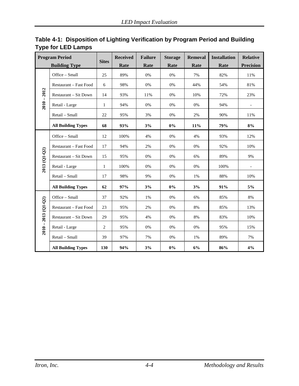| <b>Program Period</b> |                           | <b>Sites</b>   | <b>Received</b> | <b>Failure</b> | <b>Storage</b> | <b>Removal</b> | <b>Installation</b> | <b>Relative</b>  |
|-----------------------|---------------------------|----------------|-----------------|----------------|----------------|----------------|---------------------|------------------|
|                       | <b>Building Type</b>      |                | Rate            | Rate           | Rate           | Rate           | Rate                | <b>Precision</b> |
|                       | Office - Small            | 25             | 89%             | 0%             | 0%             | 7%             | 82%                 | 11%              |
|                       | Restaurant - Fast Food    | 6              | 98%             | 0%             | 0%             | 44%            | 54%                 | 81%              |
| 2012<br>$\mathbf{I}$  | Restaurant - Sit Down     | 14             | 93%             | 11%            | 0%             | 10%            | 72%                 | 23%              |
| 2010                  | Retail - Large            | $\mathbf{1}$   | 94%             | 0%             | 0%             | 0%             | 94%                 |                  |
|                       | Retail - Small            | 22             | 95%             | 3%             | 0%             | 2%             | 90%                 | 11%              |
|                       | <b>All Building Types</b> | 68             | 93%             | 3%             | $0\%$          | 11%            | 79%                 | 8%               |
|                       | Office - Small            | 12             | 100%            | 4%             | 0%             | 4%             | 93%                 | 12%              |
|                       | Restaurant - Fast Food    | 17             | 94%             | 2%             | 0%             | 0%             | 92%                 | 10%              |
| $2013(Q1-Q2)$         | Restaurant - Sit Down     | 15             | 95%             | 0%             | 0%             | 6%             | 89%                 | 9%               |
|                       | Retail - Large            | $\mathbf{1}$   | 100%            | 0%             | 0%             | 0%             | 100%                |                  |
|                       | Retail - Small            | 17             | 98%             | 9%             | 0%             | 1%             | 88%                 | 10%              |
|                       | <b>All Building Types</b> | 62             | 97%             | 3%             | $0\%$          | 3%             | 91%                 | 5%               |
|                       | Office - Small            | 37             | 92%             | 1%             | 0%             | 6%             | 85%                 | 8%               |
|                       | Restaurant - Fast Food    | 23             | 95%             | 2%             | 0%             | 8%             | 85%                 | 13%              |
|                       | Restaurant - Sit Down     | 29             | 95%             | 4%             | 0%             | 8%             | 83%                 | 10%              |
| $2010 - 2013$ (Q1-Q2) | Retail - Large            | $\overline{2}$ | 95%             | 0%             | 0%             | 0%             | 95%                 | 15%              |
|                       | Retail - Small            | 39             | 97%             | 7%             | 0%             | 1%             | 89%                 | 7%               |
|                       | <b>All Building Types</b> | 130            | 94%             | 3%             | $0\%$          | 6%             | 86%                 | 4%               |

<span id="page-43-0"></span>

|                           | Table 4-1: Disposition of Lighting Verification by Program Period and Building |
|---------------------------|--------------------------------------------------------------------------------|
| <b>Type for LED Lamps</b> |                                                                                |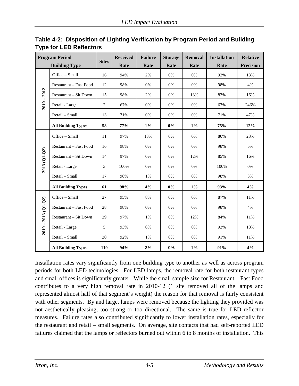| <b>Program Period</b>            |                           | <b>Sites</b>   | <b>Received</b> | <b>Failure</b> | <b>Storage</b> | <b>Removal</b> | <b>Installation</b> | <b>Relative</b>  |
|----------------------------------|---------------------------|----------------|-----------------|----------------|----------------|----------------|---------------------|------------------|
|                                  | <b>Building Type</b>      |                | Rate            | Rate           | Rate           | Rate           | Rate                | <b>Precision</b> |
|                                  | Office - Small            | 16             | 94%             | 2%             | 0%             | 0%             | 92%                 | 13%              |
|                                  | Restaurant - Fast Food    | 12             | 98%             | 0%             | 0%             | 0%             | 98%                 | 4%               |
| 2012<br>$\overline{\phantom{a}}$ | Restaurant - Sit Down     | 15             | 98%             | 2%             | 0%             | 13%            | 83%                 | 16%              |
| 2010                             | Retail - Large            | $\overline{c}$ | 67%             | 0%             | 0%             | 0%             | 67%                 | 246%             |
|                                  | Retail - Small            | 13             | 71%             | $0\%$          | $0\%$          | 0%             | 71%                 | 47%              |
|                                  | <b>All Building Types</b> | 58             | 77%             | $1\%$          | $0\%$          | $1\%$          | 75%                 | 12%              |
|                                  | Office - Small            | 11             | 97%             | 18%            | 0%             | 0%             | 80%                 | 23%              |
|                                  | Restaurant - Fast Food    | 16             | 98%             | 0%             | 0%             | 0%             | 98%                 | 5%               |
| 2013 (Q1-Q2)                     | Restaurant - Sit Down     | 14             | 97%             | 0%             | 0%             | 12%            | 85%                 | 16%              |
|                                  | Retail - Large            | 3              | 100%            | 0%             | 0%             | 0%             | 100%                | 0%               |
|                                  | Retail - Small            | 17             | 98%             | 1%             | 0%             | 0%             | 98%                 | 3%               |
|                                  | <b>All Building Types</b> | 61             | 98%             | 4%             | 0%             | $1\%$          | 93%                 | 4%               |
|                                  | Office - Small            | 27             | 95%             | $8\%$          | 0%             | 0%             | 87%                 | 11%              |
|                                  | Restaurant - Fast Food    | 28             | 98%             | 0%             | 0%             | 0%             | 98%                 | 4%               |
|                                  | Restaurant - Sit Down     | 29             | 97%             | 1%             | 0%             | 12%            | 84%                 | 11%              |
| $2010 - 2013$ (Q1-Q2)            | Retail - Large            | 5              | 93%             | $0\%$          | 0%             | 0%             | 93%                 | 18%              |
|                                  | Retail - Small            | 30             | 92%             | 1%             | 0%             | $0\%$          | 91%                 | 11%              |
|                                  | <b>All Building Types</b> | 119            | 94%             | $2\%$          | $0\%$          | $1\%$          | 91%                 | 4%               |

<span id="page-44-0"></span>**Table 4-2: Disposition of Lighting Verification by Program Period and Building Type for LED Reflectors**

Installation rates vary significantly from one building type to another as well as across program periods for both LED technologies. For LED lamps, the removal rate for both restaurant types and small offices is significantly greater. While the small sample size for Restaurant – Fast Food contributes to a very high removal rate in 2010-12 (1 site removed all of the lamps and represented almost half of that segment's weight) the reason for that removal is fairly consistent with other segments. By and large, lamps were removed because the lighting they provided was not aesthetically pleasing, too strong or too directional. The same is true for LED reflector measures. Failure rates also contributed significantly to lower installation rates, especially for the restaurant and retail – small segments. On average, site contacts that had self-reported LED failures claimed that the lamps or reflectors burned out within 6 to 8 months of installation. This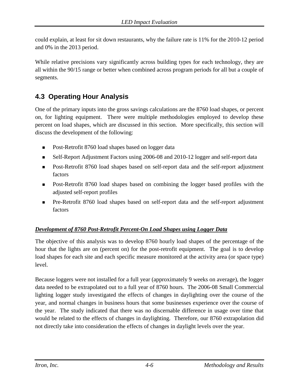could explain, at least for sit down restaurants, why the failure rate is 11% for the 2010-12 period and 0% in the 2013 period.

While relative precisions vary significantly across building types for each technology, they are all within the 90/15 range or better when combined across program periods for all but a couple of segments.

# **4.3 Operating Hour Analysis**

One of the primary inputs into the gross savings calculations are the 8760 load shapes, or percent on, for lighting equipment. There were multiple methodologies employed to develop these percent on load shapes, which are discussed in this section. More specifically, this section will discuss the development of the following:

- Post-Retrofit 8760 load shapes based on logger data
- Self-Report Adjustment Factors using 2006-08 and 2010-12 logger and self-report data
- **Post-Retrofit 8760 load shapes based on self-report data and the self-report adjustment** factors
- **Post-Retrofit 8760 load shapes based on combining the logger based profiles with the** adjusted self-report profiles
- Pre-Retrofit 8760 load shapes based on self-report data and the self-report adjustment factors

# *Development of 8760 Post-Retrofit Percent-On Load Shapes using Logger Data*

The objective of this analysis was to develop 8760 hourly load shapes of the percentage of the hour that the lights are on (percent on) for the post-retrofit equipment. The goal is to develop load shapes for each site and each specific measure monitored at the activity area (or space type) level.

Because loggers were not installed for a full year (approximately 9 weeks on average), the logger data needed to be extrapolated out to a full year of 8760 hours. The 2006-08 Small Commercial lighting logger study investigated the effects of changes in daylighting over the course of the year, and normal changes in business hours that some businesses experience over the course of the year. The study indicated that there was no discernable difference in usage over time that would be related to the effects of changes in daylighting. Therefore, our 8760 extrapolation did not directly take into consideration the effects of changes in daylight levels over the year.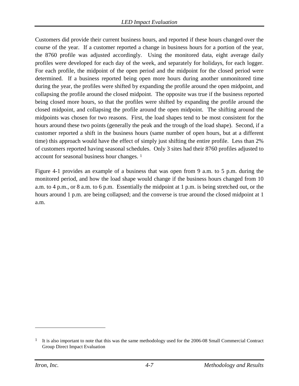Customers did provide their current business hours, and reported if these hours changed over the course of the year. If a customer reported a change in business hours for a portion of the year, the 8760 profile was adjusted accordingly. Using the monitored data, eight average daily profiles were developed for each day of the week, and separately for holidays, for each logger. For each profile, the midpoint of the open period and the midpoint for the closed period were determined. If a business reported being open more hours during another unmonitored time during the year, the profiles were shifted by expanding the profile around the open midpoint, and collapsing the profile around the closed midpoint. The opposite was true if the business reported being closed more hours, so that the profiles were shifted by expanding the profile around the closed midpoint, and collapsing the profile around the open midpoint. The shifting around the midpoints was chosen for two reasons. First, the load shapes tend to be most consistent for the hours around these two points (generally the peak and the trough of the load shape). Second, if a customer reported a shift in the business hours (same number of open hours, but at a different time) this approach would have the effect of simply just shifting the entire profile. Less than 2% of customers reported having seasonal schedules. Only 3 sites had their 8760 profiles adjusted to account for seasonal business hour changes. [1](#page-46-0) 

[Figure 4-1](#page-47-0) provides an example of a business that was open from 9 a.m. to 5 p.m. during the monitored period, and how the load shape would change if the business hours changed from 10 a.m. to 4 p.m., or 8 a.m. to 6 p.m. Essentially the midpoint at 1 p.m. is being stretched out, or the hours around 1 p.m. are being collapsed; and the converse is true around the closed midpoint at 1 a.m.

 $\overline{a}$ 

<span id="page-46-0"></span><sup>&</sup>lt;sup>1</sup> It is also important to note that this was the same methodology used for the 2006-08 Small Commercial Contract Group Direct Impact Evaluation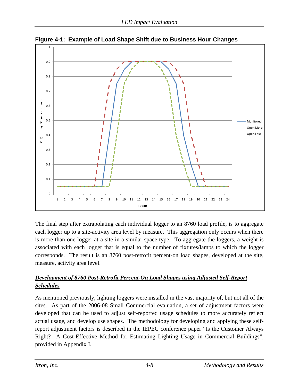

<span id="page-47-0"></span>**Figure 4-1: Example of Load Shape Shift due to Business Hour Changes** 

The final step after extrapolating each individual logger to an 8760 load profile, is to aggregate each logger up to a site-activity area level by measure. This aggregation only occurs when there is more than one logger at a site in a similar space type. To aggregate the loggers, a weight is associated with each logger that is equal to the number of fixtures/lamps to which the logger corresponds. The result is an 8760 post-retrofit percent-on load shapes, developed at the site, measure, activity area level.

# *Development of 8760 Post-Retrofit Percent-On Load Shapes using Adjusted Self-Report Schedules*

As mentioned previously, lighting loggers were installed in the vast majority of, but not all of the sites. As part of the 2006-08 Small Commercial evaluation, a set of adjustment factors were developed that can be used to adjust self-reported usage schedules to more accurately reflect actual usage, and develop use shapes. The methodology for developing and applying these selfreport adjustment factors is described in the IEPEC conference paper "Is the Customer Always Right? A Cost-Effective Method for Estimating Lighting Usage in Commercial Buildings", provided in Appendix I.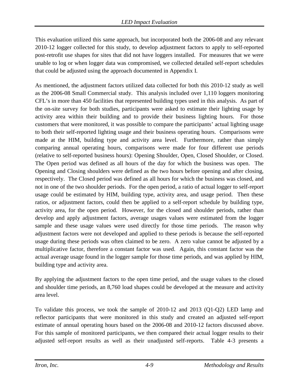This evaluation utilized this same approach, but incorporated both the 2006-08 and any relevant 2010-12 logger collected for this study, to develop adjustment factors to apply to self-reported post-retrofit use shapes for sites that did not have loggers installed. For measures that we were unable to log or when logger data was compromised, we collected detailed self-report schedules that could be adjusted using the approach documented in Appendix I.

As mentioned, the adjustment factors utilized data collected for both this 2010-12 study as well as the 2006-08 Small Commercial study. This analysis included over 1,110 loggers monitoring CFL's in more than 450 facilities that represented building types used in this analysis. As part of the on-site survey for both studies, participants were asked to estimate their lighting usage by activity area within their building and to provide their business lighting hours. For those customers that were monitored, it was possible to compare the participants' actual lighting usage to both their self-reported lighting usage and their business operating hours. Comparisons were made at the HIM, building type and activity area level. Furthermore, rather than simply comparing annual operating hours, comparisons were made for four different use periods (relative to self-reported business hours): Opening Shoulder, Open, Closed Shoulder, or Closed. The Open period was defined as all hours of the day for which the business was open. The Opening and Closing shoulders were defined as the two hours before opening and after closing, respectively. The Closed period was defined as all hours for which the business was closed, and not in one of the two shoulder periods. For the open period, a ratio of actual logger to self-report usage could be estimated by HIM, building type, activity area, and usage period. Then these ratios, or adjustment factors, could then be applied to a self-report schedule by building type, activity area, for the open period. However, for the closed and shoulder periods, rather than develop and apply adjustment factors, average usages values were estimated from the logger sample and these usage values were used directly for those time periods. The reason why adjustment factors were not developed and applied to these periods is because the self-reported usage during these periods was often claimed to be zero. A zero value cannot be adjusted by a multiplicative factor, therefore a constant factor was used. Again, this constant factor was the actual average usage found in the logger sample for those time periods, and was applied by HIM, building type and activity area.

By applying the adjustment factors to the open time period, and the usage values to the closed and shoulder time periods, an 8,760 load shapes could be developed at the measure and activity area level.

To validate this process, we took the sample of 2010-12 and 2013 (Q1-Q2) LED lamp and reflector participants that were monitored in this study and created an adjusted self-report estimate of annual operating hours based on the 2006-08 and 2010-12 factors discussed above. For this sample of monitored participants, we then compared their actual logger results to their adjusted self-report results as well as their unadjusted self-reports. [Table 4-3](#page-49-0) presents a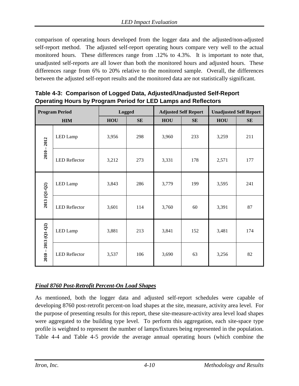comparison of operating hours developed from the logger data and the adjusted/non-adjusted self-report method. The adjusted self-report operating hours compare very well to the actual monitored hours. These differences range from .12% to 4.3%. It is important to note that, unadjusted self-reports are all lower than both the monitored hours and adjusted hours. These differences range from 6% to 20% relative to the monitored sample. Overall, the differences between the adjusted self-report results and the monitored data are not statistically significant.

<span id="page-49-0"></span>**Table 4-3: Comparison of Logged Data, Adjusted/Unadjusted Self-Report Operating Hours by Program Period for LED Lamps and Reflectors**

|                       | <b>Program Period</b> | <b>Logged</b> |     |       | <b>Adjusted Self Report</b> | <b>Unadjusted Self Report</b> |     |
|-----------------------|-----------------------|---------------|-----|-------|-----------------------------|-------------------------------|-----|
|                       | <b>HIM</b>            | HOU           | SE  | HOU   | SE                          | HOU                           | SE  |
| $2010 - 2012$         | LED Lamp              | 3,956         | 298 | 3,960 | 233                         | 3,259                         | 211 |
|                       | <b>LED</b> Reflector  | 3,212         | 273 | 3,331 | 178                         | 2,571                         | 177 |
|                       | LED Lamp              | 3,843         | 286 | 3,779 | 199                         | 3,595                         | 241 |
| 2013 (Q1-Q2)          | <b>LED</b> Reflector  | 3,601         | 114 | 3,760 | 60                          | 3,391                         | 87  |
|                       | LED Lamp              | 3,881         | 213 | 3,841 | 152                         | 3,481                         | 174 |
| $2010 - 2013$ (Q1-Q2) | <b>LED</b> Reflector  | 3,537         | 106 | 3,690 | 63                          | 3,256                         | 82  |

#### *Final 8760 Post-Retrofit Percent-On Load Shapes*

As mentioned, both the logger data and adjusted self-report schedules were capable of developing 8760 post-retrofit percent-on load shapes at the site, measure, activity area level. For the purpose of presenting results for this report, these site-measure-activity area level load shapes were aggregated to the building type level. To perform this aggregation, each site-space type profile is weighted to represent the number of lamps/fixtures being represented in the population. [Table 4-4](#page-50-0) and [Table 4-5](#page-51-0) provide the average annual operating hours (which combine the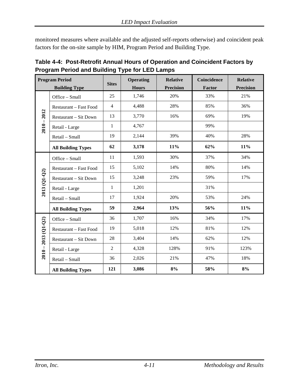monitored measures where available and the adjusted self-reports otherwise) and coincident peak factors for the on-site sample by HIM, Program Period and Building Type.

<span id="page-50-0"></span>

| Table 4-4: Post-Retrofit Annual Hours of Operation and Coincident Factors by |
|------------------------------------------------------------------------------|
| <b>Program Period and Building Type for LED Lamps</b>                        |

|                       | <b>Program Period</b><br><b>Building Type</b> | <b>Sites</b>   | <b>Operating</b><br><b>Hours</b> | <b>Relative</b><br><b>Precision</b> | Coincidence<br><b>Factor</b> | <b>Relative</b><br><b>Precision</b> |
|-----------------------|-----------------------------------------------|----------------|----------------------------------|-------------------------------------|------------------------------|-------------------------------------|
|                       | Office - Small                                | 25             | 1,746                            | 20%                                 | 33%                          | 21%                                 |
|                       | Restaurant - Fast Food                        | $\overline{4}$ | 4,488                            | 28%                                 | 85%                          | 36%                                 |
| $2010 - 2012$         | <b>Restaurant - Sit Down</b>                  | 13             | 3,770                            | 16%                                 | 69%                          | 19%                                 |
|                       | Retail - Large                                | 1              | 4,767                            |                                     | 99%                          |                                     |
|                       | Retail - Small                                | 19             | 2,144                            | 39%                                 | 40%                          | 28%                                 |
|                       | <b>All Building Types</b>                     | 62             | 3,178                            | 11%                                 | 62%                          | 11%                                 |
|                       | Office - Small                                | 11             | 1,593                            | 30%                                 | 37%                          | 34%                                 |
|                       | <b>Restaurant - Fast Food</b>                 | 15             | 5,102                            | 14%                                 | 80%                          | 14%                                 |
| 2013 (Q1-Q2)          | <b>Restaurant - Sit Down</b>                  | 15             | 3,248                            | 23%                                 | 59%                          | 17%                                 |
|                       | Retail - Large                                | $\mathbf{1}$   | 1,201                            |                                     | 31%                          |                                     |
|                       | Retail - Small                                | 17             | 1,924                            | 20%                                 | 53%                          | 24%                                 |
|                       | <b>All Building Types</b>                     | 59             | 2,964                            | 13%                                 | 56%                          | 11%                                 |
|                       | Office - Small                                | 36             | 1,707                            | 16%                                 | 34%                          | 17%                                 |
|                       | Restaurant - Fast Food                        | 19             | 5,018                            | 12%                                 | 81%                          | 12%                                 |
|                       | <b>Restaurant - Sit Down</b>                  | 28             | 3,404                            | 14%                                 | 62%                          | 12%                                 |
| $2010 - 2013$ (Q1-Q2) | Retail - Large                                | $\overline{2}$ | 4,328                            | 128%                                | 91%                          | 123%                                |
|                       | Retail - Small                                | 36             | 2,026                            | 21%                                 | 47%                          | 18%                                 |
|                       | <b>All Building Types</b>                     | 121            | 3,086                            | 8%                                  | 58%                          | 8%                                  |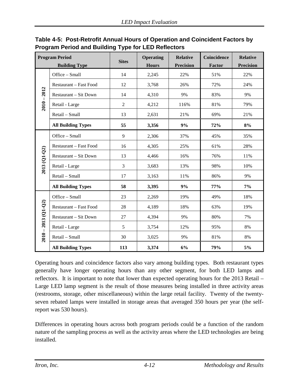|                       | <b>Program Period</b>        | <b>Sites</b>   | <b>Operating</b> | <b>Relative</b><br><b>Precision</b> | <b>Coincidence</b> | <b>Relative</b><br><b>Precision</b> |
|-----------------------|------------------------------|----------------|------------------|-------------------------------------|--------------------|-------------------------------------|
|                       | <b>Building Type</b>         |                | <b>Hours</b>     |                                     | Factor             |                                     |
|                       | Office - Small               | 14             | 2,245            | 22%                                 | 51%                | 22%                                 |
|                       | Restaurant – Fast Food       | 12             | 3,768            | 26%                                 | 72%                | 24%                                 |
| 2012                  | <b>Restaurant – Sit Down</b> | 14             | 4,310            | 9%                                  | 83%                | 9%                                  |
| $2010 -$              | Retail - Large               | $\overline{2}$ | 4,212            | 116%                                | 81%                | 79%                                 |
|                       | Retail - Small               | 13             | 2,631            | 21%                                 | 69%                | 21%                                 |
|                       | <b>All Building Types</b>    | 55             | 3,356            | 9%                                  | 72%                | 8%                                  |
|                       | Office - Small               | 9              | 2,306            | 37%                                 | 45%                | 35%                                 |
|                       | Restaurant - Fast Food       | 16             | 4,305            | 25%                                 | 61%                | 28%                                 |
| $2013(Q1-Q2)$         | Restaurant - Sit Down        | 13             | 4,466            | 16%                                 | 76%                | 11%                                 |
|                       | Retail - Large               | 3              | 3,683            | 13%                                 | 98%                | 10%                                 |
|                       | Retail - Small               | 17             | 3,163            | 11%                                 | 86%                | 9%                                  |
|                       | <b>All Building Types</b>    | 58             | 3,395            | 9%                                  | 77%                | 7%                                  |
|                       | Office - Small               | 23             | 2,269            | 19%                                 | 49%                | 18%                                 |
|                       | Restaurant - Fast Food       | 28             | 4,189            | 18%                                 | 63%                | 19%                                 |
|                       | Restaurant - Sit Down        | 27             | 4,394            | 9%                                  | 80%                | 7%                                  |
|                       | Retail - Large               | 5              | 3,754            | 12%                                 | 95%                | 8%                                  |
| $2010 - 2013$ (Q1-Q2) | Retail - Small               | 30             | 3,025            | 9%                                  | 81%                | 8%                                  |
|                       | <b>All Building Types</b>    | 113            | 3,374            | 6%                                  | 79%                | 5%                                  |

# <span id="page-51-0"></span>**Table 4-5: Post-Retrofit Annual Hours of Operation and Coincident Factors by Program Period and Building Type for LED Reflectors**

Operating hours and coincidence factors also vary among building types. Both restaurant types generally have longer operating hours than any other segment, for both LED lamps and reflectors. It is important to note that lower than expected operating hours for the 2013 Retail – Large LED lamp segment is the result of those measures being installed in three activity areas (restrooms, storage, other miscellaneous) within the large retail facility. Twenty of the twentyseven rebated lamps were installed in storage areas that averaged 350 hours per year (the selfreport was 530 hours).

Differences in operating hours across both program periods could be a function of the random nature of the sampling process as well as the activity areas where the LED technologies are being installed.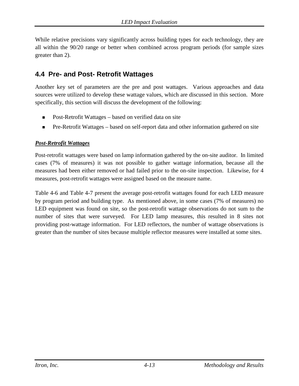While relative precisions vary significantly across building types for each technology, they are all within the 90/20 range or better when combined across program periods (for sample sizes greater than 2).

# **4.4 Pre- and Post- Retrofit Wattages**

Another key set of parameters are the pre and post wattages. Various approaches and data sources were utilized to develop these wattage values, which are discussed in this section. More specifically, this section will discuss the development of the following:

- Post-Retrofit Wattages based on verified data on site
- Pre-Retrofit Wattages based on self-report data and other information gathered on site

#### *Post-Retrofit Wattages*

Post-retrofit wattages were based on lamp information gathered by the on-site auditor. In limited cases (7% of measures) it was not possible to gather wattage information, because all the measures had been either removed or had failed prior to the on-site inspection. Likewise, for 4 measures, post-retrofit wattages were assigned based on the measure name.

[Table 4-6](#page-53-0) and [Table 4-7](#page-54-0) present the average post-retrofit wattages found for each LED measure by program period and building type. As mentioned above, in some cases (7% of measures) no LED equipment was found on site, so the post-retrofit wattage observations do not sum to the number of sites that were surveyed. For LED lamp measures, this resulted in 8 sites not providing post-wattage information. For LED reflectors, the number of wattage observations is greater than the number of sites because multiple reflector measures were installed at some sites.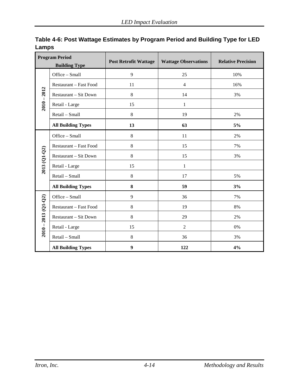| <b>Program Period</b><br><b>Building Type</b> |                           | <b>Post Retrofit Wattage</b> | <b>Wattage Observations</b> | <b>Relative Precision</b> |
|-----------------------------------------------|---------------------------|------------------------------|-----------------------------|---------------------------|
|                                               | Office - Small            | $\overline{9}$               | 25                          | 10%                       |
|                                               | Restaurant - Fast Food    | 11                           | $\overline{4}$              | 16%                       |
| $2010 - 2012$                                 | Restaurant - Sit Down     | 8                            | 14                          | 3%                        |
|                                               | Retail - Large            | 15                           | 1                           |                           |
|                                               | Retail - Small            | $\,8\,$                      | 19                          | 2%                        |
|                                               | <b>All Building Types</b> | 13                           | 63                          | 5%                        |
|                                               | Office - Small            | $\,8\,$                      | 11                          | 2%                        |
|                                               | Restaurant - Fast Food    | 8                            | 15                          | 7%                        |
| 2013 (Q1-Q2)                                  | Restaurant - Sit Down     | 8                            | 15                          | 3%                        |
|                                               | Retail - Large            | 15                           | $\mathbf{1}$                |                           |
|                                               | Retail - Small            | $\,8\,$                      | 17                          | 5%                        |
|                                               | <b>All Building Types</b> | $\bf 8$                      | 59                          | 3%                        |
|                                               | Office - Small            | $\overline{9}$               | 36                          | 7%                        |
|                                               | Restaurant - Fast Food    | 8                            | 19                          | 8%                        |
|                                               | Restaurant - Sit Down     | 8                            | 29                          | 2%                        |
| $2010 - 2013$ (Q1-Q2)                         | Retail - Large            | 15                           | $\overline{2}$              | 0%                        |
|                                               | Retail - Small            | $\,8\,$                      | 36                          | 3%                        |
|                                               | <b>All Building Types</b> | $\boldsymbol{9}$             | 122                         | 4%                        |

<span id="page-53-0"></span>**Table 4-6: Post Wattage Estimates by Program Period and Building Type for LED Lamps**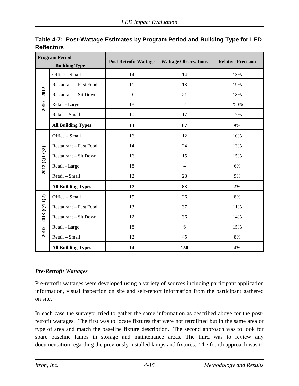| <b>Program Period</b><br><b>Building Type</b> |                           | <b>Post Retrofit Wattage</b> | <b>Wattage Observations</b> | <b>Relative Precision</b> |
|-----------------------------------------------|---------------------------|------------------------------|-----------------------------|---------------------------|
|                                               | Office - Small            | 14                           | 14                          | 13%                       |
|                                               | Restaurant - Fast Food    | 11                           | 13                          | 19%                       |
| 2012                                          | Restaurant - Sit Down     | 9                            | 21                          | 18%                       |
| $2010 - 7$                                    | Retail - Large            | 18                           | $\overline{2}$              | 250%                      |
|                                               | Retail - Small            | 10                           | 17                          | 17%                       |
|                                               | <b>All Building Types</b> | 14                           | 67                          | 9%                        |
|                                               | Office - Small            | 16                           | 12                          | 10%                       |
|                                               | Restaurant - Fast Food    | 14                           | 24                          | 13%                       |
| 2013 (Q1-Q2)                                  | Restaurant - Sit Down     | 16                           | 15                          | 15%                       |
|                                               | Retail - Large            | 18                           | $\overline{4}$              | 6%                        |
|                                               | Retail - Small            | 12                           | 28                          | 9%                        |
|                                               | <b>All Building Types</b> | 17                           | 83                          | 2%                        |
|                                               | Office - Small            | 15                           | 26                          | 8%                        |
|                                               | Restaurant - Fast Food    | 13                           | 37                          | 11%                       |
| 2013 (Q1-Q2)                                  | Restaurant - Sit Down     | 12                           | 36                          | 14%                       |
| $2010 - 1$                                    | Retail - Large            | 18                           | 6                           | 15%                       |
|                                               | Retail - Small            | 12                           | 45                          | 8%                        |
|                                               | <b>All Building Types</b> | 14                           | 150                         | 4%                        |

<span id="page-54-0"></span>**Table 4-7: Post-Wattage Estimates by Program Period and Building Type for LED Reflectors**

#### *Pre-Retrofit Wattages*

Pre-retrofit wattages were developed using a variety of sources including participant application information, visual inspection on site and self-report information from the participant gathered on site.

In each case the surveyor tried to gather the same information as described above for the postretrofit wattages. The first was to locate fixtures that were not retrofitted but in the same area or type of area and match the baseline fixture description. The second approach was to look for spare baseline lamps in storage and maintenance areas. The third was to review any documentation regarding the previously installed lamps and fixtures. The fourth approach was to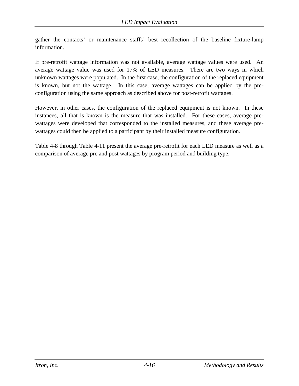gather the contacts' or maintenance staffs' best recollection of the baseline fixture-lamp information.

If pre-retrofit wattage information was not available, average wattage values were used. An average wattage value was used for 17% of LED measures. There are two ways in which unknown wattages were populated. In the first case, the configuration of the replaced equipment is known, but not the wattage. In this case, average wattages can be applied by the preconfiguration using the same approach as described above for post-retrofit wattages.

However, in other cases, the configuration of the replaced equipment is not known. In these instances, all that is known is the measure that was installed. For these cases, average prewattages were developed that corresponded to the installed measures, and these average prewattages could then be applied to a participant by their installed measure configuration.

[Table 4-8](#page-56-0) through [Table 4-11](#page-59-0) present the average pre-retrofit for each LED measure as well as a comparison of average pre and post wattages by program period and building type.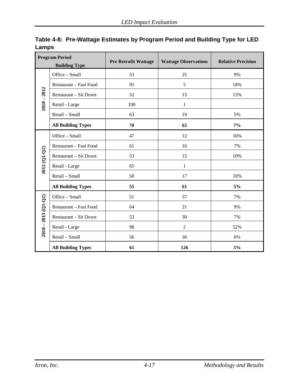| <b>Program Period</b><br><b>Building Type</b> |                              | <b>Pre Retrofit Wattage</b> | <b>Wattage Observations</b> | <b>Relative Precision</b> |
|-----------------------------------------------|------------------------------|-----------------------------|-----------------------------|---------------------------|
|                                               | Office - Small               | 53                          | 25                          | 9%                        |
|                                               | Restaurant - Fast Food       | 95                          | 5                           | 18%                       |
| $2010 - 2012$                                 | Restaurant - Sit Down        | 52                          | 15                          | 13%                       |
|                                               | Retail - Large               | 100                         | $\mathbf{1}$                |                           |
|                                               | Retail - Small               | 63                          | 19                          | 5%                        |
|                                               | <b>All Building Types</b>    | 70                          | 65                          | $7\%$                     |
|                                               | Office - Small               | 47                          | 12                          | 10%                       |
|                                               | Restaurant - Fast Food       | 61                          | 16                          | 7%                        |
| 2013 (Q1-Q2)                                  | <b>Restaurant - Sit Down</b> | 53                          | 15                          | 10%                       |
|                                               | Retail - Large               | 65                          | $\mathbf{1}$                |                           |
|                                               | Retail - Small               | 50                          | 17                          | 10%                       |
|                                               | <b>All Building Types</b>    | 55                          | 61                          | 5%                        |
|                                               | Office - Small               | 51                          | 37                          | 7%                        |
|                                               | Restaurant - Fast Food       | 64                          | 21                          | 9%                        |
|                                               | Restaurant - Sit Down        | 53                          | 30                          | 7%                        |
| $2010 - 2013$ (Q1-Q2)                         | Retail - Large               | 98                          | $\overline{2}$              | 52%                       |
|                                               | Retail - Small               | 56                          | 36                          | 6%                        |
|                                               | <b>All Building Types</b>    | 61                          | 126                         | 5%                        |

<span id="page-56-0"></span>**Table 4-8: Pre-Wattage Estimates by Program Period and Building Type for LED Lamps**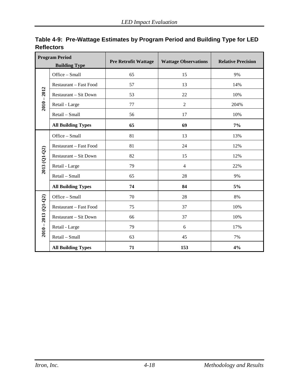| <b>Program Period</b><br><b>Building Type</b> |                              | <b>Pre Retrofit Wattage</b> | <b>Wattage Observations</b> | <b>Relative Precision</b> |  |
|-----------------------------------------------|------------------------------|-----------------------------|-----------------------------|---------------------------|--|
|                                               | Office - Small               | 65                          | 15                          | 9%                        |  |
|                                               | Restaurant - Fast Food       | 57                          | 13                          | 14%                       |  |
| 2012                                          | Restaurant - Sit Down        | 53                          | 22                          | 10%                       |  |
| $2010 - 1$                                    | Retail - Large               | 77                          | $\overline{2}$              | 204%                      |  |
|                                               | Retail - Small               | 56                          | 17                          | 10%                       |  |
|                                               | <b>All Building Types</b>    | 65                          | 69                          | $7\%$                     |  |
|                                               | Office - Small               | 81                          | 13                          | 13%                       |  |
|                                               | Restaurant - Fast Food       | 81                          | 24                          | 12%                       |  |
| 2013 (Q1-Q2)                                  | Restaurant - Sit Down        | 82                          | 15                          | 12%                       |  |
|                                               | Retail - Large               | 79                          | $\overline{4}$              | 22%                       |  |
|                                               | Retail - Small               | 65                          | 28                          | 9%                        |  |
|                                               | <b>All Building Types</b>    | 74                          | 84                          | 5%                        |  |
|                                               | Office - Small               | 70                          | 28                          | 8%                        |  |
|                                               | Restaurant - Fast Food       | 75                          | 37                          | 10%                       |  |
|                                               | <b>Restaurant - Sit Down</b> | 66                          | 37                          | 10%                       |  |
| $2010 - 2013$ (Q1-Q2)                         | Retail - Large               | 79                          | 6                           | 17%                       |  |
|                                               | Retail - Small               | 63                          | 45                          | 7%                        |  |
|                                               | <b>All Building Types</b>    | 71                          | 153                         | 4%                        |  |

**Table 4-9: Pre-Wattage Estimates by Program Period and Building Type for LED Reflectors**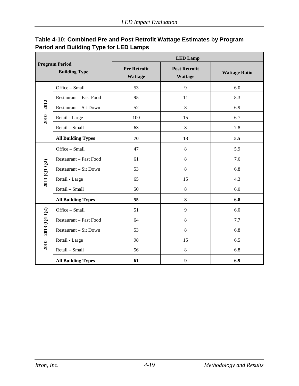| Table 4-10: Combined Pre and Post Retrofit Wattage Estimates by Program |
|-------------------------------------------------------------------------|
| Period and Building Type for LED Lamps                                  |

| <b>Program Period</b><br><b>Building Type</b> |                           | <b>LED Lamp</b>                       |                                        |                      |  |  |
|-----------------------------------------------|---------------------------|---------------------------------------|----------------------------------------|----------------------|--|--|
|                                               |                           | <b>Pre Retrofit</b><br><b>Wattage</b> | <b>Post Retrofit</b><br><b>Wattage</b> | <b>Wattage Ratio</b> |  |  |
|                                               | Office - Small            | 53                                    | 9                                      | 6.0                  |  |  |
|                                               | Restaurant - Fast Food    | 95                                    | 11                                     | 8.3                  |  |  |
| $2010 - 2012$                                 | Restaurant - Sit Down     | 52                                    | $8\,$                                  | 6.9                  |  |  |
|                                               | Retail - Large            | 100                                   | 15                                     | 6.7                  |  |  |
|                                               | Retail - Small            | 63                                    | $8\,$                                  | 7.8                  |  |  |
|                                               | <b>All Building Types</b> | 70                                    | 13                                     | 5.5                  |  |  |
|                                               | Office - Small            | 47                                    | $8\,$                                  | 5.9                  |  |  |
|                                               | Restaurant - Fast Food    | 61                                    | $8\,$                                  | 7.6                  |  |  |
| 2013 (Q1-Q2)                                  | Restaurant - Sit Down     | 53                                    | 8                                      | 6.8                  |  |  |
|                                               | Retail - Large            | 65                                    | 15                                     | 4.3                  |  |  |
|                                               | Retail - Small            | 50                                    | $8\,$                                  | 6.0                  |  |  |
|                                               | <b>All Building Types</b> | 55                                    | 8                                      | 6.8                  |  |  |
|                                               | Office - Small            | 51                                    | 9                                      | 6.0                  |  |  |
| $2010 - 2013$ (Q1-Q2)                         | Restaurant - Fast Food    | 64                                    | 8                                      | 7.7                  |  |  |
|                                               | Restaurant - Sit Down     | 53                                    | 8                                      | 6.8                  |  |  |
|                                               | Retail - Large            | 98                                    | 15                                     | 6.5                  |  |  |
|                                               | Retail - Small            | 56                                    | 8                                      | 6.8                  |  |  |
|                                               | <b>All Building Types</b> | 61                                    | 9                                      | 6.9                  |  |  |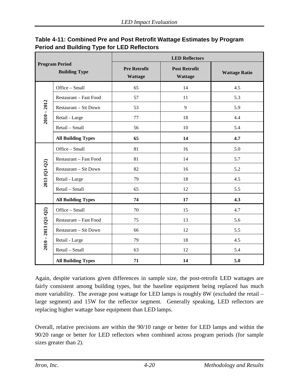| <b>Program Period</b><br><b>Building Type</b> |                           | <b>LED Reflectors</b>                                                           |    |                      |  |  |  |
|-----------------------------------------------|---------------------------|---------------------------------------------------------------------------------|----|----------------------|--|--|--|
|                                               |                           | <b>Pre Retrofit</b><br><b>Post Retrofit</b><br><b>Wattage</b><br><b>Wattage</b> |    | <b>Wattage Ratio</b> |  |  |  |
| Office - Small                                |                           | 65                                                                              | 14 | 4.5                  |  |  |  |
|                                               | Restaurant - Fast Food    | 57                                                                              | 11 | 5.3                  |  |  |  |
|                                               | Restaurant - Sit Down     | 53                                                                              | 9  | 5.9                  |  |  |  |
| $2010 - 2012$                                 | Retail - Large            | 77                                                                              | 18 | 4.4                  |  |  |  |
|                                               | Retail - Small            | 56                                                                              | 10 | 5.4                  |  |  |  |
|                                               | <b>All Building Types</b> | 65                                                                              | 14 | 4.7                  |  |  |  |
|                                               | Office - Small            | 81                                                                              | 16 | 5.0                  |  |  |  |
|                                               | Restaurant - Fast Food    | 81                                                                              | 14 | 5.7                  |  |  |  |
| 2013 (Q1-Q2)                                  | Restaurant - Sit Down     | 82                                                                              | 16 | 5.2                  |  |  |  |
|                                               | Retail - Large            | 79                                                                              | 18 | 4.5                  |  |  |  |
|                                               | Retail - Small            | 65                                                                              | 12 | 5.5                  |  |  |  |
|                                               | <b>All Building Types</b> | 74                                                                              | 17 | 4.3                  |  |  |  |
|                                               | Office - Small            | 70                                                                              | 15 | 4.7                  |  |  |  |
|                                               | Restaurant - Fast Food    | 75                                                                              | 13 | 5.6                  |  |  |  |
|                                               | Restaurant - Sit Down     | 66                                                                              | 12 | 5.5                  |  |  |  |
| $2010 - 2013$ (Q1-Q2)                         | Retail - Large            | 79                                                                              | 18 | 4.5                  |  |  |  |
|                                               | Retail - Small            | 63                                                                              | 12 | 5.4                  |  |  |  |
|                                               | <b>All Building Types</b> | 71                                                                              | 14 | 5.0                  |  |  |  |

#### <span id="page-59-0"></span>**Table 4-11: Combined Pre and Post Retrofit Wattage Estimates by Program Period and Building Type for LED Reflectors**

Again, despite variations given differences in sample size, the post-retrofit LED wattages are fairly consistent among building types, but the baseline equipment being replaced has much more variability. The average post wattage for LED lamps is roughly 8W (excluded the retail – large segment) and 15W for the reflector segment. Generally speaking, LED reflectors are replacing higher wattage base equipment than LED lamps.

Overall, relative precisions are within the 90/10 range or better for LED lamps and within the 90/20 range or better for LED reflectors when combined across program periods (for sample sizes greater than 2).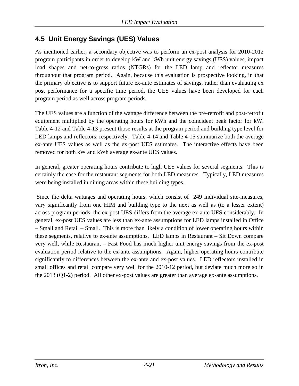# **4.5 Unit Energy Savings (UES) Values**

As mentioned earlier, a secondary objective was to perform an ex-post analysis for 2010-2012 program participants in order to develop kW and kWh unit energy savings (UES) values, impact load shapes and net-to-gross ratios (NTGRs) for the LED lamp and reflector measures throughout that program period. Again, because this evaluation is prospective looking, in that the primary objective is to support future ex-ante estimates of savings, rather than evaluating ex post performance for a specific time period, the UES values have been developed for each program period as well across program periods.

The UES values are a function of the wattage difference between the pre-retrofit and post-retrofit equipment multiplied by the operating hours for kWh and the coincident peak factor for kW. [Table 4-12](#page-61-0) and [Table 4-13](#page-62-0) present those results at the program period and building type level for LED lamps and reflectors, respectively. [Table 4-14](#page-63-0) and [Table 4-15](#page-64-0) summarize both the average ex-ante UES values as well as the ex-post UES estimates. The interactive effects have been removed for both kW and kWh average ex-ante UES values.

In general, greater operating hours contribute to high UES values for several segments. This is certainly the case for the restaurant segments for both LED measures. Typically, LED measures were being installed in dining areas within these building types.

Since the delta wattages and operating hours, which consist of 249 individual site-measures, vary significantly from one HIM and building type to the next as well as (to a lesser extent) across program periods, the ex-post UES differs from the average ex-ante UES considerably. In general, ex-post UES values are less than ex-ante assumptions for LED lamps installed in Office – Small and Retail – Small. This is more than likely a condition of lower operating hours within these segments, relative to ex-ante assumptions. LED lamps in Restaurant – Sit Down compare very well, while Restaurant – Fast Food has much higher unit energy savings from the ex-post evaluation period relative to the ex-ante assumptions. Again, higher operating hours contribute significantly to differences between the ex-ante and ex-post values. LED reflectors installed in small offices and retail compare very well for the 2010-12 period, but deviate much more so in the 2013 (Q1-2) period. All other ex-post values are greater than average ex-ante assumptions.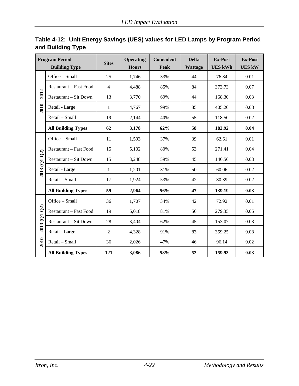| <b>Program Period</b> |                              | <b>Sites</b>   | <b>Operating</b> | Coincident  | <b>Delta</b> | <b>Ex-Post</b> | <b>Ex-Post</b> |
|-----------------------|------------------------------|----------------|------------------|-------------|--------------|----------------|----------------|
| <b>Building Type</b>  |                              |                | <b>Hours</b>     | <b>Peak</b> | Wattage      | <b>UES kWh</b> | <b>UES kW</b>  |
|                       | Office - Small               | 25             | 1,746            | 33%         | 44           | 76.84          | $0.01\,$       |
|                       | Restaurant - Fast Food       | 4              | 4,488            | 85%         | 84           | 373.73         | 0.07           |
| 2012                  | <b>Restaurant - Sit Down</b> | 13             | 3,770            | 69%         | 44           | 168.30         | 0.03           |
| $2010 -$              | Retail - Large               | $\mathbf{1}$   | 4,767            | 99%         | 85           | 405.20         | 0.08           |
|                       | Retail - Small               | 19             | 2,144            | 40%         | 55           | 118.50         | 0.02           |
|                       | <b>All Building Types</b>    | 62             | 3,178            | 62%         | 58           | 182.92         | 0.04           |
|                       | Office - Small               | 11             | 1,593            | 37%         | 39           | 62.61          | 0.01           |
|                       | Restaurant - Fast Food       | 15             | 5,102            | 80%         | 53           | 271.41         | 0.04           |
| 2013 (Q1-Q2)          | <b>Restaurant - Sit Down</b> | 15             | 3,248            | 59%         | 45           | 146.56         | 0.03           |
|                       | Retail - Large               | $\mathbf{1}$   | 1,201            | 31%         | 50           | 60.06          | 0.02           |
|                       | Retail - Small               | 17             | 1,924            | 53%         | 42           | 80.39          | 0.02           |
|                       | <b>All Building Types</b>    | 59             | 2,964            | 56%         | 47           | 139.19         | 0.03           |
|                       | Office - Small               | 36             | 1,707            | 34%         | 42           | 72.92          | 0.01           |
| 2013 (Q1-Q2)          | Restaurant - Fast Food       | 19             | 5,018            | 81%         | 56           | 279.35         | 0.05           |
|                       | <b>Restaurant - Sit Down</b> | 28             | 3,404            | 62%         | 45           | 153.07         | 0.03           |
|                       | Retail - Large               | $\overline{2}$ | 4,328            | 91%         | 83           | 359.25         | 0.08           |
| $2010 -$              | Retail - Small               | 36             | 2,026            | 47%         | 46           | 96.14          | 0.02           |
|                       | <b>All Building Types</b>    | 121            | 3,086            | 58%         | 52           | 159.93         | 0.03           |

## <span id="page-61-0"></span>**Table 4-12: Unit Energy Savings (UES) values for LED Lamps by Program Period and Building Type**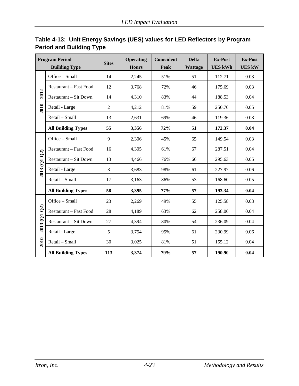| <b>Program Period</b> |                              | <b>Sites</b>   | <b>Operating</b> | Coincident | <b>Delta</b>   | <b>Ex-Post</b> | <b>Ex-Post</b> |
|-----------------------|------------------------------|----------------|------------------|------------|----------------|----------------|----------------|
| <b>Building Type</b>  |                              |                | <b>Hours</b>     | Peak       | <b>Wattage</b> | <b>UES kWh</b> | <b>UES kW</b>  |
|                       | Office - Small               | 14             | 2,245            | 51%        | 51             | 112.71         | 0.03           |
|                       | Restaurant - Fast Food       | 12             | 3,768            | 72%        | 46             | 175.69         | 0.03           |
| 2012                  | <b>Restaurant - Sit Down</b> | 14             | 4,310            | 83%        | 44             | 188.53         | 0.04           |
| $2010 -$              | Retail - Large               | $\overline{2}$ | 4,212            | 81%        | 59             | 250.70         | 0.05           |
|                       | Retail - Small               | 13             | 2,631            | 69%        | 46             | 119.36         | 0.03           |
|                       | <b>All Building Types</b>    | 55             | 3,356            | 72%        | 51             | 172.37         | 0.04           |
|                       | Office - Small               | 9              | 2,306            | 45%        | 65             | 149.54         | 0.03           |
|                       | Restaurant - Fast Food       | 16             | 4,305            | 61%        | 67             | 287.51         | 0.04           |
|                       | <b>Restaurant - Sit Down</b> | 13             | 4,466            | 76%        | 66             | 295.63         | 0.05           |
| 2013 (Q1-Q2)          | Retail - Large               | 3              | 3,683            | 98%        | 61             | 227.97         | 0.06           |
|                       | Retail - Small               | 17             | 3,163            | 86%        | 53             | 168.60         | 0.05           |
|                       | <b>All Building Types</b>    | 58             | 3,395            | 77%        | 57             | 193.34         | 0.04           |
|                       | Office - Small               | 23             | 2,269            | 49%        | 55             | 125.58         | 0.03           |
|                       | Restaurant - Fast Food       | 28             | 4,189            | 63%        | 62             | 258.06         | 0.04           |
| 2013 (Q1-Q2)          | Restaurant - Sit Down        | 27             | 4,394            | 80%        | 54             | 236.09         | 0.04           |
|                       | Retail - Large               | 5              | 3,754            | 95%        | 61             | 230.99         | 0.06           |
| $2010 -$              | Retail - Small               | 30             | 3,025            | 81%        | 51             | 155.12         | 0.04           |
|                       | <b>All Building Types</b>    | 113            | 3,374            | 79%        | 57             | 190.90         | 0.04           |

## <span id="page-62-0"></span>**Table 4-13: Unit Energy Savings (UES) values for LED Reflectors by Program Period and Building Type**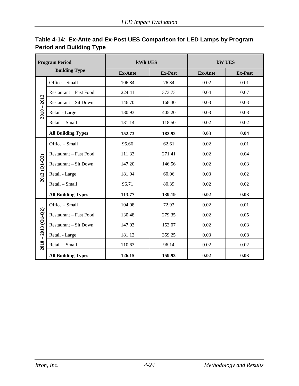| <b>Program Period</b><br><b>Building Type</b> |                               | kWh UES        |                | <b>kW UES</b>  |                |  |
|-----------------------------------------------|-------------------------------|----------------|----------------|----------------|----------------|--|
|                                               |                               | <b>Ex-Ante</b> | <b>Ex-Post</b> | <b>Ex-Ante</b> | <b>Ex-Post</b> |  |
|                                               | Office - Small                | 106.84         | 76.84          | 0.02           | 0.01           |  |
|                                               | Restaurant - Fast Food        | 224.41         | 373.73         | 0.04           | 0.07           |  |
| 2012                                          | Restaurant - Sit Down         | 146.70         | 168.30         | 0.03           | 0.03           |  |
| $2010 -$                                      | Retail - Large                | 180.93         | 405.20         | 0.03           | 0.08           |  |
|                                               | Retail - Small                | 131.14         | 118.50         | 0.02           | 0.02           |  |
|                                               | <b>All Building Types</b>     | 152.73         | 182.92         | 0.03           | 0.04           |  |
|                                               | Office - Small                | 95.66          | 62.61          | 0.02           | 0.01           |  |
|                                               | Restaurant - Fast Food        | 111.33         | 271.41         | 0.02           | 0.04           |  |
| 2013 (Q1-Q2)                                  | Restaurant - Sit Down         | 147.20         | 146.56         | 0.02           | 0.03           |  |
|                                               | Retail - Large                | 181.94         | 60.06          | 0.03           | 0.02           |  |
|                                               | Retail - Small                | 96.71          | 80.39          | 0.02           | 0.02           |  |
|                                               | <b>All Building Types</b>     | 113.77         | 139.19         | 0.02           | 0.03           |  |
|                                               | Office - Small                | 104.08         | 72.92          | 0.02           | 0.01           |  |
|                                               | <b>Restaurant - Fast Food</b> | 130.48         | 279.35         | 0.02           | 0.05           |  |
|                                               | <b>Restaurant – Sit Down</b>  | 147.03         | 153.07         | 0.02           | 0.03           |  |
|                                               | Retail - Large                | 181.12         | 359.25         | 0.03           | 0.08           |  |
| $2010 - 2013$ (Q1-Q2)                         | Retail - Small                | 110.63         | 96.14          | 0.02           | 0.02           |  |
|                                               | <b>All Building Types</b>     | 126.15         | 159.93         | 0.02           | 0.03           |  |

#### <span id="page-63-0"></span>**Table 4-14**: **Ex-Ante and Ex-Post UES Comparison for LED Lamps by Program Period and Building Type**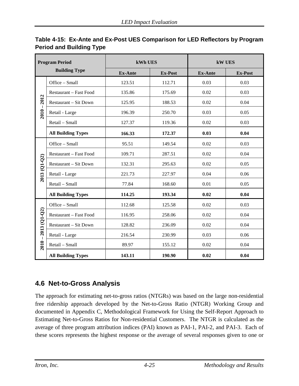| <b>Program Period</b><br><b>Building Type</b> |                               | kWh UES        |                | <b>kW UES</b>  |                |  |
|-----------------------------------------------|-------------------------------|----------------|----------------|----------------|----------------|--|
|                                               |                               | <b>Ex-Ante</b> | <b>Ex-Post</b> | <b>Ex-Ante</b> | <b>Ex-Post</b> |  |
|                                               | Office - Small                | 123.51         | 112.71         | 0.03           | 0.03           |  |
|                                               | Restaurant - Fast Food        | 135.86         | 175.69         | 0.02           | 0.03           |  |
| 2012                                          | <b>Restaurant - Sit Down</b>  | 125.95         | 188.53         | 0.02           | 0.04           |  |
| $\overline{\phantom{a}}$<br>2010              | Retail - Large                | 196.39         | 250.70         | 0.03           | 0.05           |  |
|                                               | Retail - Small                | 127.37         | 119.36         | 0.02           | 0.03           |  |
|                                               | <b>All Building Types</b>     | 166.33         | 172.37         | 0.03           | 0.04           |  |
|                                               | Office - Small                | 95.51          | 149.54         | 0.02           | 0.03           |  |
|                                               | Restaurant - Fast Food        | 109.71         | 287.51         | 0.02           | 0.04           |  |
| $2013(Q1-Q2)$                                 | <b>Restaurant - Sit Down</b>  | 132.31         | 295.63         | 0.02           | 0.05           |  |
|                                               | Retail - Large                | 221.73         | 227.97         | 0.04           | 0.06           |  |
|                                               | Retail - Small                | 77.84          | 168.60         | 0.01           | 0.05           |  |
|                                               | <b>All Building Types</b>     | 114.25         | 193.34         | 0.02           | 0.04           |  |
|                                               | Office - Small                | 112.68         | 125.58         | 0.02           | 0.03           |  |
| 2013 (Q1-Q2)                                  | <b>Restaurant - Fast Food</b> | 116.95         | 258.06         | 0.02           | 0.04           |  |
|                                               | <b>Restaurant – Sit Down</b>  | 128.82         | 236.09         | 0.02           | 0.04           |  |
|                                               | Retail - Large                | 216.54         | 230.99         | 0.03           | 0.06           |  |
| $2010 -$                                      | Retail - Small                | 89.97          | 155.12         | 0.02           | 0.04           |  |
|                                               | <b>All Building Types</b>     | 143.11         | 190.90         | 0.02           | 0.04           |  |

## <span id="page-64-0"></span>**Table 4-15: Ex-Ante and Ex-Post UES Comparison for LED Reflectors by Program Period and Building Type**

# **4.6 Net-to-Gross Analysis**

The approach for estimating net-to-gross ratios (NTGRs) was based on the large non-residential free ridership approach developed by the Net-to-Gross Ratio (NTGR) Working Group and documented in Appendix C, Methodological Framework for Using the Self-Report Approach to Estimating Net-to-Gross Ratios for Non-residential Customers. The NTGR is calculated as the average of three program attribution indices (PAI) known as PAI-1, PAI-2, and PAI-3. Each of these scores represents the highest response or the average of several responses given to one or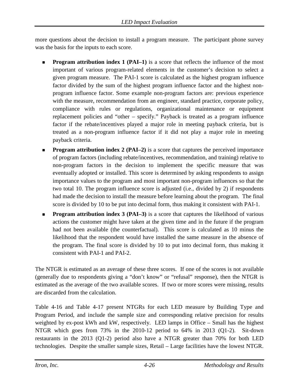more questions about the decision to install a program measure. The participant phone survey was the basis for the inputs to each score.

- **Program attribution index 1 (PAI–1)** is a score that reflects the influence of the most important of various program-related elements in the customer's decision to select a given program measure. The PAI-1 score is calculated as the highest program influence factor divided by the sum of the highest program influence factor and the highest nonprogram influence factor. Some example non-program factors are: previous experience with the measure, recommendation from an engineer, standard practice, corporate policy, compliance with rules or regulations, organizational maintenance or equipment replacement policies and "other – specify." Payback is treated as a program influence factor if the rebate/incentives played a major role in meeting payback criteria, but is treated as a non-program influence factor if it did not play a major role in meeting payback criteria.
- **Program attribution index 2 (PAI–2)** is a score that captures the perceived importance of program factors (including rebate/incentives, recommendation, and training) relative to non-program factors in the decision to implement the specific measure that was eventually adopted or installed. This score is determined by asking respondents to assign importance values to the program and most important non-program influences so that the two total 10. The program influence score is adjusted (i.e., divided by 2) if respondents had made the decision to install the measure before learning about the program. The final score is divided by 10 to be put into decimal form, thus making it consistent with PAI-1.
- **Program attribution index 3 (PAI–3)** is a score that captures the likelihood of various actions the customer might have taken at the given time and in the future if the program had not been available (the counterfactual). This score is calculated as 10 minus the likelihood that the respondent would have installed the same measure in the absence of the program. The final score is divided by 10 to put into decimal form, thus making it consistent with PAI-1 and PAI-2.

The NTGR is estimated as an average of these three scores. If one of the scores is not available (generally due to respondents giving a "don't know" or "refusal" response), then the NTGR is estimated as the average of the two available scores. If two or more scores were missing, results are discarded from the calculation.

[Table 4-16](#page-66-0) and [Table 4-17](#page-67-0) present NTGRs for each LED measure by Building Type and Program Period, and include the sample size and corresponding relative precision for results weighted by ex-post kWh and kW, respectively. LED lamps in Office – Small has the highest NTGR which goes from 73% in the 2010-12 period to 64% in 2013 (Q1-2). Sit-down restaurants in the 2013 (Q1-2) period also have a NTGR greater than 70% for both LED technologies. Despite the smaller sample sizes, Retail – Large facilities have the lowest NTGR.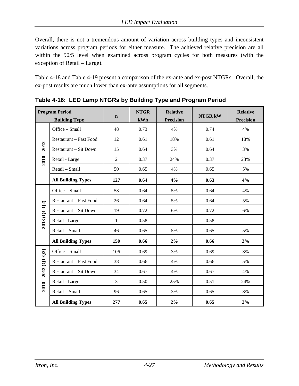Overall, there is not a tremendous amount of variation across building types and inconsistent variations across program periods for either measure. The achieved relative precision are all within the 90/5 level when examined across program cycles for both measures (with the exception of Retail – Large).

[Table 4-18](#page-68-0) and [Table 4-19](#page-69-1) present a comparison of the ex-ante and ex-post NTGRs. Overall, the ex-post results are much lower than ex-ante assumptions for all segments.

|                       | <b>Program Period</b><br><b>Building Type</b> | $\mathbf n$    | <b>NTGR</b><br>kWh | <b>Relative</b><br><b>Precision</b> | <b>NTGR kW</b> | <b>Relative</b><br><b>Precision</b> |
|-----------------------|-----------------------------------------------|----------------|--------------------|-------------------------------------|----------------|-------------------------------------|
|                       | Office - Small                                | 48             | 0.73               | 4%                                  | 0.74           | 4%                                  |
|                       | Restaurant - Fast Food                        | 12             | 0.61               | 18%                                 | 0.61           | 18%                                 |
| 2012                  | Restaurant - Sit Down                         | 15             | 0.64               | 3%                                  | 0.64           | 3%                                  |
| $2010 -$              | Retail - Large                                | $\overline{2}$ | 0.37               | 24%                                 | 0.37           | 23%                                 |
|                       | Retail - Small                                | 50             | 0.65               | 4%                                  | 0.65           | 5%                                  |
|                       | <b>All Building Types</b>                     | 127            | 0.64               | 4%                                  | 0.63           | 4%                                  |
|                       | Office - Small                                | 58             | 0.64               | 5%                                  | 0.64           | 4%                                  |
|                       | Restaurant - Fast Food                        | 26             | 0.64               | 5%                                  | 0.64           | 5%                                  |
|                       | Restaurant - Sit Down                         | 19             | 0.72               | 6%                                  | 0.72           | 6%                                  |
| 2013 (Q1-Q2)          | Retail - Large                                | $\mathbf{1}$   | 0.58               |                                     | 0.58           |                                     |
|                       | Retail - Small                                | 46             | 0.65               | 5%                                  | 0.65           | 5%                                  |
|                       | <b>All Building Types</b>                     | 150            | 0.66               | 2%                                  | 0.66           | 3%                                  |
|                       | Office - Small                                | 106            | 0.69               | 3%                                  | 0.69           | 3%                                  |
|                       | Restaurant - Fast Food                        | 38             | 0.66               | 4%                                  | 0.66           | 5%                                  |
|                       | <b>Restaurant - Sit Down</b>                  | 34             | 0.67               | 4%                                  | 0.67           | 4%                                  |
| $2010 - 2013$ (Q1-Q2) | Retail - Large                                | 3              | 0.50               | 25%                                 | 0.51           | 24%                                 |
|                       | Retail - Small                                | 96             | 0.65               | 3%                                  | 0.65           | 3%                                  |
|                       | <b>All Building Types</b>                     | 277            | 0.65               | 2%                                  | 0.65           | $2\%$                               |

<span id="page-66-0"></span>**Table 4-16: LED Lamp NTGRs by Building Type and Program Period**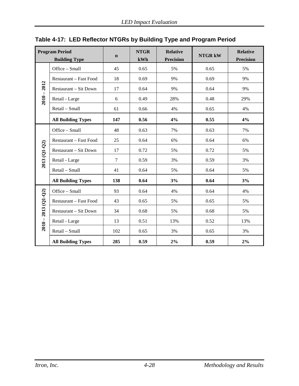|                | <b>Program Period</b><br><b>Building Type</b> | $\mathbf n$ | <b>NTGR</b><br>kWh | <b>Relative</b><br><b>Precision</b> | <b>NTGR kW</b> | <b>Relative</b><br><b>Precision</b> |
|----------------|-----------------------------------------------|-------------|--------------------|-------------------------------------|----------------|-------------------------------------|
|                | Office - Small                                | 45          | 0.65               | 5%                                  | 0.65           | 5%                                  |
|                | Restaurant – Fast Food                        | 18          | 0.69               | 9%                                  | 0.69           | 9%                                  |
| 2012           | Restaurant - Sit Down                         | 17          | 0.64               | 9%                                  | 0.64           | 9%                                  |
| $2010 -$       | Retail - Large                                | 6           | 0.49               | 28%                                 | 0.48           | 29%                                 |
|                | Retail - Small                                | 61          | 0.66               | 4%                                  | 0.65           | 4%                                  |
|                | <b>All Building Types</b>                     | 147         | 0.56               | 4%                                  | 0.55           | 4%                                  |
|                | Office - Small                                | 48          | 0.63               | 7%                                  | 0.63           | 7%                                  |
|                | Restaurant - Fast Food                        | 25          | 0.64               | 6%                                  | 0.64           | 6%                                  |
| 2013 (Q1-Q2)   | Restaurant - Sit Down                         | 17          | 0.72               | 5%                                  | 0.72           | 5%                                  |
|                | Retail - Large                                | $\tau$      | 0.59               | 3%                                  | 0.59           | 3%                                  |
|                | Retail - Small                                | 41          | 0.64               | 5%                                  | 0.64           | 5%                                  |
|                | <b>All Building Types</b>                     | 138         | 0.64               | 3%                                  | 0.64           | 3%                                  |
|                | Office - Small                                | 93          | 0.64               | 4%                                  | 0.64           | 4%                                  |
| $2013 (Q1-Q2)$ | Restaurant - Fast Food                        | 43          | 0.65               | 5%                                  | 0.65           | 5%                                  |
|                | Restaurant - Sit Down                         | 34          | 0.68               | 5%                                  | 0.68           | 5%                                  |
| $2010 -$       | Retail - Large                                | 13          | 0.51               | 13%                                 | 0.52           | 13%                                 |
|                | Retail - Small                                | 102         | 0.65               | 3%                                  | 0.65           | 3%                                  |
|                | <b>All Building Types</b>                     | 285         | 0.59               | 2%                                  | 0.59           | $2\%$                               |

# <span id="page-67-0"></span>**Table 4-17: LED Reflector NTGRs by Building Type and Program Period**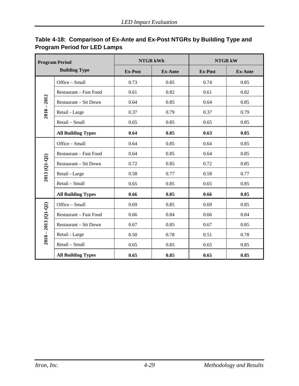| <b>Program Period</b><br><b>Building Type</b> |                              | <b>NTGR kWh</b> |                | <b>NTGR kW</b> |                |  |
|-----------------------------------------------|------------------------------|-----------------|----------------|----------------|----------------|--|
|                                               |                              | <b>Ex-Post</b>  | <b>Ex-Ante</b> | <b>Ex-Post</b> | <b>Ex-Ante</b> |  |
|                                               | Office - Small               | 0.73            | 0.85           | 0.74           | 0.85           |  |
|                                               | Restaurant - Fast Food       | 0.61            | 0.82           | 0.61           | 0.82           |  |
| $2010 - 2012$                                 | Restaurant - Sit Down        | 0.64            | 0.85           | 0.64           | 0.85           |  |
|                                               | Retail - Large               | 0.37            | 0.79           | 0.37           | 0.79           |  |
|                                               | Retail - Small               | 0.65            | 0.85           | 0.65           | 0.85           |  |
|                                               | <b>All Building Types</b>    | 0.64            | 0.85           | 0.63           | 0.85           |  |
|                                               | Office - Small               | 0.64            | 0.85           | 0.64           | 0.85           |  |
|                                               | Restaurant - Fast Food       | 0.64            | 0.85           | 0.64           | 0.85           |  |
| 2013 (Q1-Q2)                                  | Restaurant - Sit Down        | 0.72            | 0.85           | 0.72           | 0.85           |  |
|                                               | Retail - Large               | 0.58            | 0.77           | 0.58           | 0.77           |  |
|                                               | Retail - Small               | 0.65            | 0.85           | 0.65           | 0.85           |  |
|                                               | <b>All Building Types</b>    | 0.66            | 0.85           | 0.66           | 0.85           |  |
|                                               | Office - Small               | 0.69            | 0.85           | 0.69           | 0.85           |  |
|                                               | Restaurant - Fast Food       | 0.66            | 0.84           | 0.66           | 0.84           |  |
| $2010 - 2013$ (Q1-Q2)                         | <b>Restaurant - Sit Down</b> | 0.67            | 0.85           | 0.67           | 0.85           |  |
|                                               | Retail - Large               | 0.50            | 0.78           | 0.51           | 0.78           |  |
|                                               | Retail - Small               | 0.65            | 0.85           | 0.65           | 0.85           |  |
|                                               | <b>All Building Types</b>    | 0.65            | 0.85           | 0.65           | 0.85           |  |

## <span id="page-68-0"></span>**Table 4-18: Comparison of Ex-Ante and Ex-Post NTGRs by Building Type and Program Period for LED Lamps**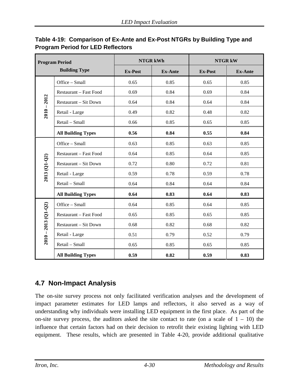| <b>Program Period</b><br><b>Building Type</b> |                              |                | <b>NTGR kWh</b> | <b>NTGR kW</b> |                |
|-----------------------------------------------|------------------------------|----------------|-----------------|----------------|----------------|
|                                               |                              | <b>Ex-Post</b> | <b>Ex-Ante</b>  | <b>Ex-Post</b> | <b>Ex-Ante</b> |
| $2010 - 2012$                                 | Office - Small               | 0.65           | 0.85            | 0.65           | 0.85           |
|                                               | Restaurant - Fast Food       | 0.69           | 0.84            | 0.69           | 0.84           |
|                                               | Restaurant - Sit Down        | 0.64           | 0.84            | 0.64           | 0.84           |
|                                               | Retail - Large               | 0.49           | 0.82            | 0.48           | 0.82           |
|                                               | Retail - Small               | 0.66           | 0.85            | 0.65           | 0.85           |
|                                               | <b>All Building Types</b>    | 0.56           | 0.84            | 0.55           | 0.84           |
| 2013 (Q1-Q2)                                  | Office - Small               | 0.63           | 0.85            | 0.63           | 0.85           |
|                                               | Restaurant - Fast Food       | 0.64           | 0.85            | 0.64           | 0.85           |
|                                               | <b>Restaurant – Sit Down</b> | 0.72           | 0.80            | 0.72           | 0.81           |
|                                               | Retail - Large               | 0.59           | 0.78            | 0.59           | 0.78           |
|                                               | Retail - Small               | 0.64           | 0.84            | 0.64           | 0.84           |
|                                               | <b>All Building Types</b>    | 0.64           | 0.83            | 0.64           | 0.83           |
| $2010 - 2013$ (Q1-Q2)                         | Office - Small               | 0.64           | 0.85            | 0.64           | 0.85           |
|                                               | Restaurant - Fast Food       | 0.65           | 0.85            | 0.65           | 0.85           |
|                                               | <b>Restaurant - Sit Down</b> | 0.68           | 0.82            | 0.68           | 0.82           |
|                                               | Retail - Large               | 0.51           | 0.79            | 0.52           | 0.79           |
|                                               | Retail - Small               | 0.65           | 0.85            | 0.65           | 0.85           |
|                                               | <b>All Building Types</b>    | 0.59           | 0.82            | 0.59           | 0.83           |

#### <span id="page-69-1"></span>**Table 4-19: Comparison of Ex-Ante and Ex-Post NTGRs by Building Type and Program Period for LED Reflectors**

# <span id="page-69-0"></span>**4.7 Non-Impact Analysis**

The on-site survey process not only facilitated verification analyses and the development of impact parameter estimates for LED lamps and reflectors, it also served as a way of understanding why individuals were installing LED equipment in the first place. As part of the on-site survey process, the auditors asked the site contact to rate (on a scale of  $1 - 10$ ) the influence that certain factors had on their decision to retrofit their existing lighting with LED equipment. These results, which are presented in [Table 4-20,](#page-70-0) provide additional qualitative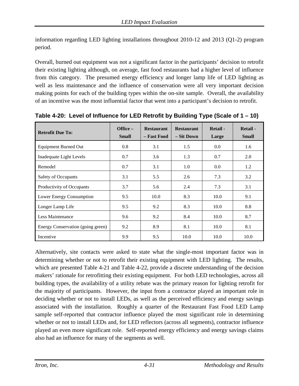information regarding LED lighting installations throughout 2010-12 and 2013 (Q1-2) program period.

Overall, burned out equipment was not a significant factor in the participants' decision to retrofit their existing lighting although, on average, fast food restaurants had a higher level of influence from this category. The presumed energy efficiency and longer lamp life of LED lighting as well as less maintenance and the influence of conservation were all very important decision making points for each of the building types within the on-site sample. Overall, the availability of an incentive was the most influential factor that went into a participant's decision to retrofit.

| <b>Retrofit Due To:</b>           | Office $-$<br><b>Small</b> | <b>Restaurant</b><br>– Fast Food | <b>Restaurant</b><br>– Sit Down | Retail -<br>Large | Retail -<br><b>Small</b> |
|-----------------------------------|----------------------------|----------------------------------|---------------------------------|-------------------|--------------------------|
| <b>Equipment Burned Out</b>       | 0.8                        | 3.1                              | 1.5                             | 0.0               | 1.6                      |
| Inadequate Light Levels           | 0.7                        | 3.6                              | 1.3                             | 0.7               | 2.0                      |
| Remodel                           | 0.7                        | 3.1                              | 1.0                             | 0.0               | 1.2                      |
| Safety of Occupants               | 3.1                        | 5.5                              | 2.6                             | 7.3               | 3.2                      |
| Productivity of Occupants         | 3.7                        | 5.6                              | 2.4                             | 7.3               | 3.1                      |
| Lower Energy Consumption          | 9.5                        | 10.0                             | 8.3                             | 10.0              | 9.1                      |
| Longer Lamp Life                  | 9.5                        | 9.2                              | 8.3                             | 10.0              | 8.8                      |
| Less Maintenance                  | 9.6                        | 9.2                              | 8.4                             | 10.0              | 8.7                      |
| Energy Conservation (going green) | 9.2                        | 8.9                              | 8.1                             | 10.0              | 8.1                      |
| Incentive                         | 9.9                        | 9.5                              | 10.0                            | 10.0              | 10.0                     |

<span id="page-70-0"></span>**Table 4-20: Level of Influence for LED Retrofit by Building Type (Scale of 1 – 10)**

Alternatively, site contacts were asked to state what the single-most important factor was in determining whether or not to retrofit their existing equipment with LED lighting. The results, which are presented [Table 4-21](#page-71-0) and [Table 4-22,](#page-72-0) provide a discrete understanding of the decision makers' rationale for retrofitting their existing equipment. For both LED technologies, across all building types, the availability of a utility rebate was the primary reason for lighting retrofit for the majority of participants. However, the input from a contractor played an important role in deciding whether or not to install LEDs, as well as the perceived efficiency and energy savings associated with the installation. Roughly a quarter of the Restaurant Fast Food LED Lamp sample self-reported that contractor influence played the most significant role in determining whether or not to install LEDs and, for LED reflectors (across all segments), contractor influence played an even more significant role. Self-reported energy efficiency and energy savings claims also had an influence for many of the segments as well.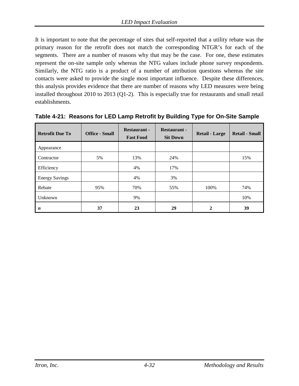It is important to note that the percentage of sites that self-reported that a utility rebate was the primary reason for the retrofit does not match the corresponding NTGR's for each of the segments. There are a number of reasons why that may be the case. For one, these estimates represent the on-site sample only whereas the NTG values include phone survey respondents. Similarly, the NTG ratio is a product of a number of attribution questions whereas the site contacts were asked to provide the single most important influence. Despite these differences, this analysis provides evidence that there are number of reasons why LED measures were being installed throughout 2010 to 2013 (Q1-2). This is especially true for restaurants and small retail establishments.

| <b>Retrofit Due To</b> | <b>Office - Small</b> | <b>Restaurant -</b><br><b>Fast Food</b> | <b>Restaurant -</b><br><b>Sit Down</b> | <b>Retail - Large</b> | <b>Retail - Small</b> |
|------------------------|-----------------------|-----------------------------------------|----------------------------------------|-----------------------|-----------------------|
| Appearance             |                       |                                         |                                        |                       |                       |
| Contractor             | 5%                    | 13%                                     | 24%                                    |                       | 15%                   |
| Efficiency             |                       | 4%                                      | 17%                                    |                       |                       |
| <b>Energy Savings</b>  |                       | 4%                                      | 3%                                     |                       |                       |
| Rebate                 | 95%                   | 70%                                     | 55%                                    | 100%                  | 74%                   |
| Unknown                |                       | 9%                                      |                                        |                       | 10%                   |
| $\boldsymbol{n}$       | 37                    | 23                                      | 29                                     | 2                     | 39                    |

<span id="page-71-0"></span>**Table 4-21: Reasons for LED Lamp Retrofit by Building Type for On-Site Sample**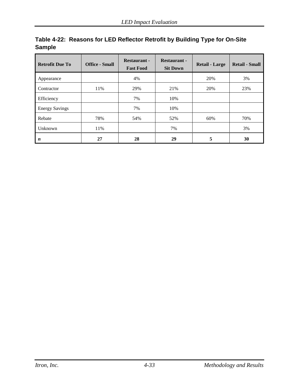| <b>Retrofit Due To</b> | <b>Office - Small</b> | <b>Restaurant -</b><br><b>Fast Food</b> | <b>Restaurant -</b><br><b>Sit Down</b> | <b>Retail - Large</b> | <b>Retail - Small</b> |
|------------------------|-----------------------|-----------------------------------------|----------------------------------------|-----------------------|-----------------------|
| Appearance             |                       | 4%                                      |                                        | 20%                   | 3%                    |
| Contractor             | 11%                   | 29%                                     | 21%                                    | 20%                   | 23%                   |
| Efficiency             |                       | 7%                                      | 10%                                    |                       |                       |
| <b>Energy Savings</b>  |                       | 7%                                      | 10%                                    |                       |                       |
| Rebate                 | 78%                   | 54%                                     | 52%                                    | 60%                   | 70%                   |
| Unknown                | 11%                   |                                         | 7%                                     |                       | 3%                    |
| n                      | 27                    | 28                                      | 29                                     | 5                     | 30                    |

|        | Table 4-22: Reasons for LED Reflector Retrofit by Building Type for On-Site |  |
|--------|-----------------------------------------------------------------------------|--|
| Sample |                                                                             |  |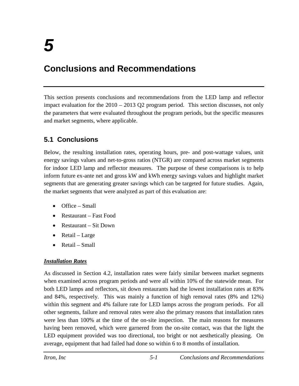# **Conclusions and Recommendations**

This section presents conclusions and recommendations from the LED lamp and reflector impact evaluation for the 2010 – 2013 Q2 program period. This section discusses, not only the parameters that were evaluated throughout the program periods, but the specific measures and market segments, where applicable.

# **5.1 Conclusions**

Below, the resulting installation rates, operating hours, pre- and post-wattage values, unit energy savings values and net-to-gross ratios (NTGR) are compared across market segments for indoor LED lamp and reflector measures. The purpose of these comparisons is to help inform future ex-ante net and gross kW and kWh energy savings values and highlight market segments that are generating greater savings which can be targeted for future studies. Again, the market segments that were analyzed as part of this evaluation are:

- Office Small
- Restaurant Fast Food
- Restaurant Sit Down
- Retail Large
- Retail Small

# *Installation Rates*

As discussed in Section 4.2, installation rates were fairly similar between market segments when examined across program periods and were all within 10% of the statewide mean. For both LED lamps and reflectors, sit down restaurants had the lowest installation rates at 83% and 84%, respectively. This was mainly a function of high removal rates (8% and 12%) within this segment and 4% failure rate for LED lamps across the program periods. For all other segments, failure and removal rates were also the primary reasons that installation rates were less than 100% at the time of the on-site inspection. The main reasons for measures having been removed, which were garnered from the on-site contact, was that the light the LED equipment provided was too directional, too bright or not aesthetically pleasing. On average, equipment that had failed had done so within 6 to 8 months of installation.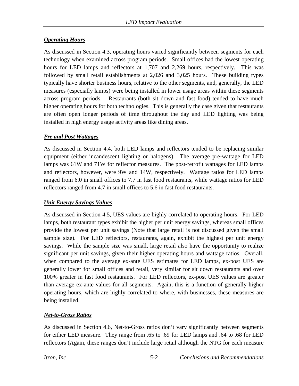## *Operating Hours*

As discussed in Section 4.3, operating hours varied significantly between segments for each technology when examined across program periods. Small offices had the lowest operating hours for LED lamps and reflectors at 1,707 and 2,269 hours, respectively. This was followed by small retail establishments at 2,026 and 3,025 hours. These building types typically have shorter business hours, relative to the other segments, and, generally, the LED measures (especially lamps) were being installed in lower usage areas within these segments across program periods. Restaurants (both sit down and fast food) tended to have much higher operating hours for both technologies. This is generally the case given that restaurants are often open longer periods of time throughout the day and LED lighting was being installed in high energy usage activity areas like dining areas.

### *Pre and Post Wattages*

As discussed in Section 4.4, both LED lamps and reflectors tended to be replacing similar equipment (either incandescent lighting or halogens). The average pre-wattage for LED lamps was 61W and 71W for reflector measures. The post-retrofit wattages for LED lamps and reflectors, however, were 9W and 14W, respectively. Wattage ratios for LED lamps ranged from 6.0 in small offices to 7.7 in fast food restaurants, while wattage ratios for LED reflectors ranged from 4.7 in small offices to 5.6 in fast food restaurants.

### *Unit Energy Savings Values*

As discussed in Section 4.5, UES values are highly correlated to operating hours. For LED lamps, both restaurant types exhibit the higher per unit energy savings, whereas small offices provide the lowest per unit savings (Note that large retail is not discussed given the small sample size). For LED reflectors, restaurants, again, exhibit the highest per unit energy savings. While the sample size was small, large retail also have the opportunity to realize significant per unit savings, given their higher operating hours and wattage ratios. Overall, when compared to the average ex-ante UES estimates for LED lamps, ex-post UES are generally lower for small offices and retail, very similar for sit down restaurants and over 100% greater in fast food restaurants. For LED reflectors, ex-post UES values are greater than average ex-ante values for all segments. Again, this is a function of generally higher operating hours, which are highly correlated to where, with businesses, these measures are being installed.

# *Net-to-Gross Ratios*

As discussed in Section 4.6, Net-to-Gross ratios don't vary significantly between segments for either LED measure. They range from .65 to .69 for LED lamps and .64 to .68 for LED reflectors (Again, these ranges don't include large retail although the NTG for each measure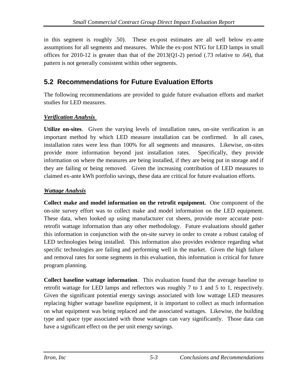in this segment is roughly .50). These ex-post estimates are all well below ex-ante assumptions for all segments and measures. While the ex-post NTG for LED lamps in small offices for 2010-12 is greater than that of the  $2013(Q1-2)$  period (.73 relative to .64), that pattern is not generally consistent within other segments.

# **5.2 Recommendations for Future Evaluation Efforts**

The following recommendations are provided to guide future evaluation efforts and market studies for LED measures.

### *Verification Analysis*

**Utilize on-sites**. Given the varying levels of installation rates, on-site verification is an important method by which LED measure installation can be confirmed. In all cases, installation rates were less than 100% for all segments and measures. Likewise, on-sites provide more information beyond just installation rates. Specifically, they provide information on where the measures are being installed, if they are being put in storage and if they are failing or being removed. Given the increasing contribution of LED measures to claimed ex-ante kWh portfolio savings, these data are critical for future evaluation efforts.

## *Wattage Analysis*

**Collect make and model information on the retrofit equipment.** One component of the on-site survey effort was to collect make and model information on the LED equipment. These data, when looked up using manufacturer cut sheets, provide more accurate postretrofit wattage information than any other methodology. Future evaluations should gather this information in conjunction with the on-site survey in order to create a robust catalog of LED technologies being installed. This information also provides evidence regarding what specific technologies are failing and performing well in the market. Given the high failure and removal rates for some segments in this evaluation, this information is critical for future program planning.

**Collect baseline wattage information**. This evaluation found that the average baseline to retrofit wattage for LED lamps and reflectors was roughly 7 to 1 and 5 to 1, respectively. Given the significant potential energy savings associated with low wattage LED measures replacing higher wattage baseline equipment, it is important to collect as much information on what equipment was being replaced and the associated wattages. Likewise, the building type and space type associated with those wattages can vary significantly. Those data can have a significant effect on the per unit energy savings.